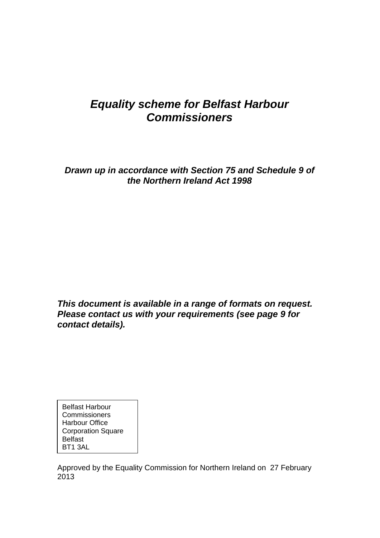# *Equality scheme for Belfast Harbour Commissioners*

*Drawn up in accordance with Section 75 and Schedule 9 of the Northern Ireland Act 1998*

*This document is available in a range of formats on request. Please contact us with your requirements (see page 9 for contact details).*

Belfast Harbour **Commissioners** Harbour Office Corporation Square **Belfast** BT1 3AL

<span id="page-0-0"></span>Approved by the Equality Commission for Northern Ireland on 27 February 2013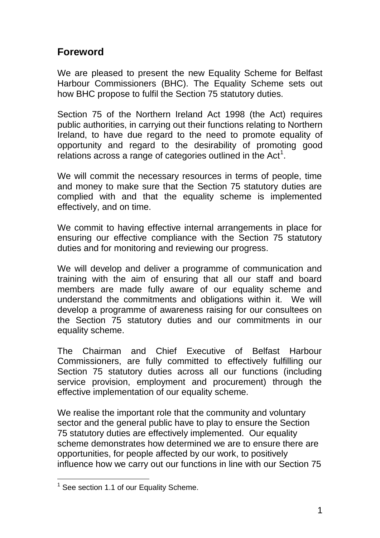# **Foreword**

We are pleased to present the new Equality Scheme for Belfast Harbour Commissioners (BHC). The Equality Scheme sets out how BHC propose to fulfil the Section 75 statutory duties.

Section 75 of the Northern Ireland Act 1998 (the Act) requires public authorities, in carrying out their functions relating to Northern Ireland, to have due regard to the need to promote equality of opportunity and regard to the desirability of promoting good relations across a range of categories outlined in the Act<sup>[1](#page-0-0)</sup>.

We will commit the necessary resources in terms of people, time and money to make sure that the Section 75 statutory duties are complied with and that the equality scheme is implemented effectively, and on time.

We commit to having effective internal arrangements in place for ensuring our effective compliance with the Section 75 statutory duties and for monitoring and reviewing our progress.

We will develop and deliver a programme of communication and training with the aim of ensuring that all our staff and board members are made fully aware of our equality scheme and understand the commitments and obligations within it. We will develop a programme of awareness raising for our consultees on the Section 75 statutory duties and our commitments in our equality scheme.

The Chairman and Chief Executive of Belfast Harbour Commissioners, are fully committed to effectively fulfilling our Section 75 statutory duties across all our functions (including service provision, employment and procurement) through the effective implementation of our equality scheme.

We realise the important role that the community and voluntary sector and the general public have to play to ensure the Section 75 statutory duties are effectively implemented. Our equality scheme demonstrates how determined we are to ensure there are opportunities, for people affected by our work, to positively influence how we carry out our functions in line with our Section 75

<span id="page-1-0"></span> $\overline{\phantom{a}}$  $1$  See section 1.1 of our Equality Scheme.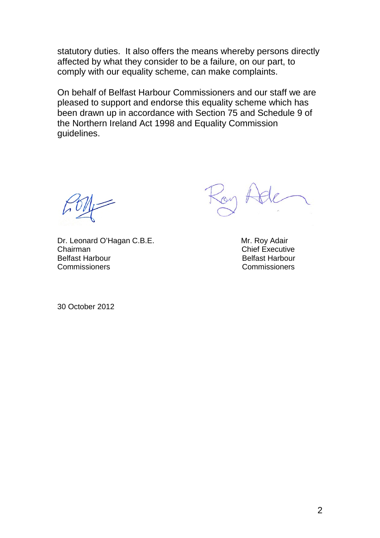statutory duties. It also offers the means whereby persons directly affected by what they consider to be a failure, on our part, to comply with our equality scheme, can make complaints.

On behalf of Belfast Harbour Commissioners and our staff we are pleased to support and endorse this equality scheme which has been drawn up in accordance with Section 75 and Schedule 9 of the Northern Ireland Act 1998 and Equality Commission guidelines.

Dr. Leonard O'Hagan C.B.E.<br>Chairman **Chairman** Chairman Chairman Chairman Chairman Chairman Chief Executive<br>Belfast Harbour Chief Executive Commissioners Commissioners

Belfast Harbour

30 October 2012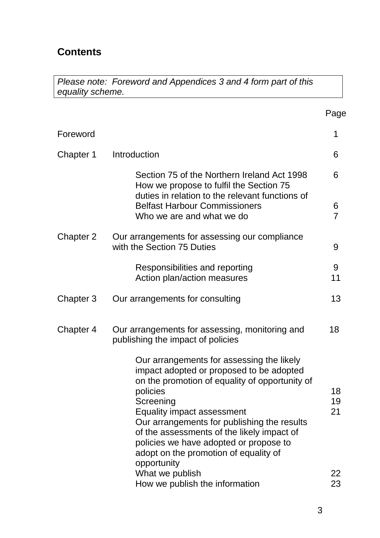# **Contents**

*Please note: Foreword and Appendices 3 and 4 form part of this equality scheme.*

|           |                                                                                                                                                                                                                                                                                                                                                                                                      | Page                |
|-----------|------------------------------------------------------------------------------------------------------------------------------------------------------------------------------------------------------------------------------------------------------------------------------------------------------------------------------------------------------------------------------------------------------|---------------------|
| Foreword  |                                                                                                                                                                                                                                                                                                                                                                                                      | 1                   |
| Chapter 1 | Introduction                                                                                                                                                                                                                                                                                                                                                                                         | 6                   |
|           | Section 75 of the Northern Ireland Act 1998<br>How we propose to fulfil the Section 75<br>duties in relation to the relevant functions of                                                                                                                                                                                                                                                            | 6                   |
|           | <b>Belfast Harbour Commissioners</b><br>Who we are and what we do                                                                                                                                                                                                                                                                                                                                    | 6<br>$\overline{7}$ |
| Chapter 2 | Our arrangements for assessing our compliance<br>with the Section 75 Duties                                                                                                                                                                                                                                                                                                                          | 9                   |
|           | Responsibilities and reporting<br>Action plan/action measures                                                                                                                                                                                                                                                                                                                                        | 9<br>11             |
| Chapter 3 | Our arrangements for consulting                                                                                                                                                                                                                                                                                                                                                                      | 13                  |
| Chapter 4 | Our arrangements for assessing, monitoring and<br>publishing the impact of policies                                                                                                                                                                                                                                                                                                                  | 18                  |
|           | Our arrangements for assessing the likely<br>impact adopted or proposed to be adopted<br>on the promotion of equality of opportunity of<br>policies<br>Screening<br><b>Equality impact assessment</b><br>Our arrangements for publishing the results<br>of the assessments of the likely impact of<br>policies we have adopted or propose to<br>adopt on the promotion of equality of<br>opportunity | 18<br>19<br>21      |
|           | What we publish                                                                                                                                                                                                                                                                                                                                                                                      | 22                  |
|           | How we publish the information                                                                                                                                                                                                                                                                                                                                                                       | 23                  |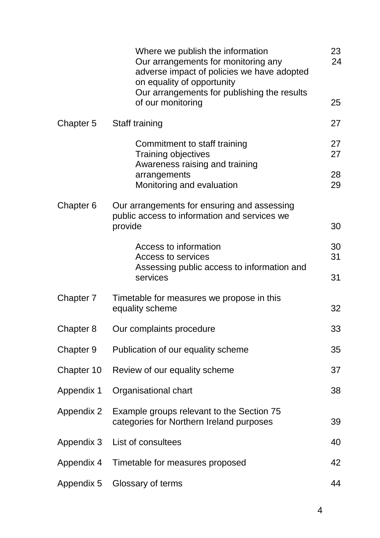|            | Where we publish the information<br>Our arrangements for monitoring any<br>adverse impact of policies we have adopted<br>on equality of opportunity<br>Our arrangements for publishing the results | 23<br>24 |
|------------|----------------------------------------------------------------------------------------------------------------------------------------------------------------------------------------------------|----------|
|            | of our monitoring                                                                                                                                                                                  | 25       |
| Chapter 5  | Staff training                                                                                                                                                                                     | 27       |
|            | Commitment to staff training<br><b>Training objectives</b><br>Awareness raising and training                                                                                                       | 27<br>27 |
|            | arrangements<br>Monitoring and evaluation                                                                                                                                                          | 28<br>29 |
| Chapter 6  | Our arrangements for ensuring and assessing<br>public access to information and services we<br>provide                                                                                             | 30       |
|            | Access to information<br>Access to services<br>Assessing public access to information and                                                                                                          | 30<br>31 |
|            | services                                                                                                                                                                                           | 31       |
| Chapter 7  | Timetable for measures we propose in this<br>equality scheme                                                                                                                                       | 32       |
| Chapter 8  | Our complaints procedure                                                                                                                                                                           | 33       |
| Chapter 9  | Publication of our equality scheme                                                                                                                                                                 | 35       |
| Chapter 10 | Review of our equality scheme                                                                                                                                                                      | 37       |
| Appendix 1 | Organisational chart                                                                                                                                                                               | 38       |
| Appendix 2 | Example groups relevant to the Section 75<br>categories for Northern Ireland purposes                                                                                                              | 39       |
| Appendix 3 | List of consultees                                                                                                                                                                                 | 40       |
| Appendix 4 | Timetable for measures proposed                                                                                                                                                                    | 42       |
| Appendix 5 | Glossary of terms                                                                                                                                                                                  | 44       |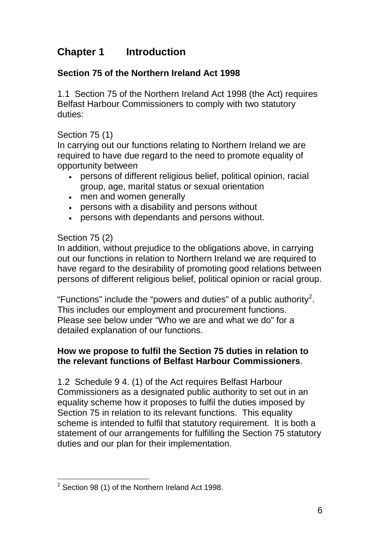# **Chapter 1 Introduction**

# **Section 75 of the Northern Ireland Act 1998**

1.1 Section 75 of the Northern Ireland Act 1998 (the Act) requires Belfast Harbour Commissioners to comply with two statutory duties:

#### Section 75 (1)

In carrying out our functions relating to Northern Ireland we are required to have due regard to the need to promote equality of opportunity between

- persons of different religious belief, political opinion, racial group, age, marital status or sexual orientation
- men and women generally
- persons with a disability and persons without
- persons with dependants and persons without.

#### Section 75 (2)

In addition, without prejudice to the obligations above, in carrying out our functions in relation to Northern Ireland we are required to have regard to the desirability of promoting good relations between persons of different religious belief, political opinion or racial group.

"Functions" include the "powers and duties" of a public authority<sup>[2](#page-1-0)</sup>. This includes our employment and procurement functions. Please see below under "Who we are and what we do" for a detailed explanation of our functions.

#### **How we propose to fulfil the Section 75 duties in relation to the relevant functions of Belfast Harbour Commissioners**.

1.2 Schedule 9 4. (1) of the Act requires Belfast Harbour Commissioners as a designated public authority to set out in an equality scheme how it proposes to fulfil the duties imposed by Section 75 in relation to its relevant functions. This equality scheme is intended to fulfil that statutory requirement. It is both a statement of our arrangements for fulfilling the Section 75 statutory duties and our plan for their implementation.

<span id="page-6-0"></span> $\overline{\phantom{a}}$  $2$  Section 98 (1) of the Northern Ireland Act 1998.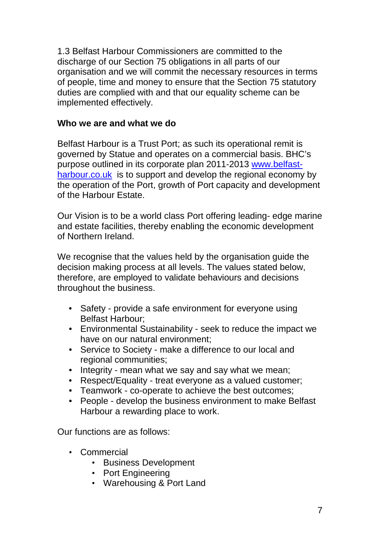1.3 Belfast Harbour Commissioners are committed to the discharge of our Section 75 obligations in all parts of our organisation and we will commit the necessary resources in terms of people, time and money to ensure that the Section 75 statutory duties are complied with and that our equality scheme can be implemented effectively.

#### **Who we are and what we do**

Belfast Harbour is a Trust Port; as such its operational remit is governed by Statue and operates on a commercial basis. BHC's purpose outlined in its corporate plan 2011-2013 [www.belfast](http://www.belfast-harbour.co.uk/)[harbour.co.uk](http://www.belfast-harbour.co.uk/) is to support and develop the regional economy by the operation of the Port, growth of Port capacity and development of the Harbour Estate.

Our Vision is to be a world class Port offering leading- edge marine and estate facilities, thereby enabling the economic development of Northern Ireland.

We recognise that the values held by the organisation guide the decision making process at all levels. The values stated below, therefore, are employed to validate behaviours and decisions throughout the business.

- Safety provide a safe environment for everyone using Belfast Harbour;
- Environmental Sustainability seek to reduce the impact we have on our natural environment;
- Service to Society make a difference to our local and regional communities;
- Integrity mean what we say and say what we mean;
- Respect/Equality treat everyone as a valued customer;
- Teamwork co-operate to achieve the best outcomes;
- People develop the business environment to make Belfast Harbour a rewarding place to work.

Our functions are as follows:

- Commercial
	- Business Development
	- Port Engineering
	- Warehousing & Port Land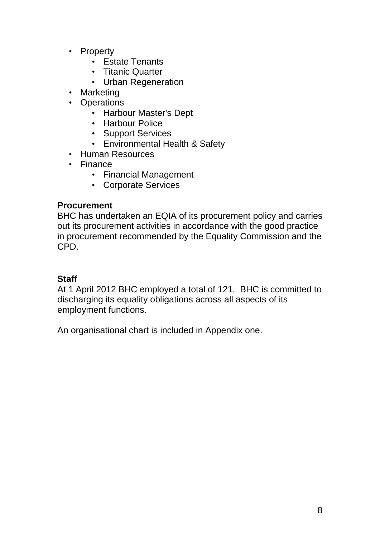- Property
	- Estate Tenants
	- Titanic Quarter
	- Urban Regeneration
- Marketing
- Operations
	- Harbour Master's Dept
	- Harbour Police
	- Support Services
	- Environmental Health & Safety
- Human Resources
- Finance
	- Financial Management
	- Corporate Services

#### **Procurement**

BHC has undertaken an EQIA of its procurement policy and carries out its procurement activities in accordance with the good practice in procurement recommended by the Equality Commission and the CPD.

### **Staff**

At 1 April 2012 BHC employed a total of 121. BHC is committed to discharging its equality obligations across all aspects of its employment functions.

An organisational chart is included in Appendix one.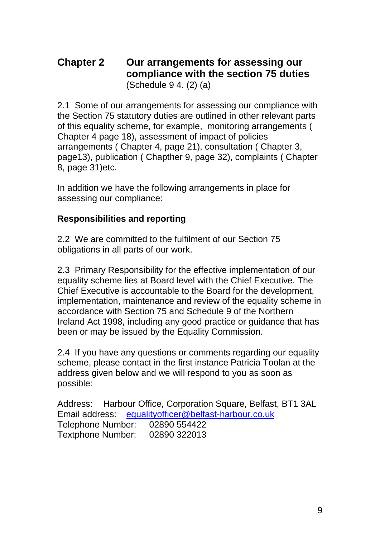# **Chapter 2 Our arrangements for assessing our compliance with the section 75 duties** (Schedule 9 4. (2) (a)

2.1 Some of our arrangements for assessing our compliance with the Section 75 statutory duties are outlined in other relevant parts of this equality scheme, for example, monitoring arrangements ( Chapter 4 page 18), assessment of impact of policies arrangements ( Chapter 4, page 21), consultation ( Chapter 3, page13), publication ( Chapther 9, page 32), complaints ( Chapter 8, page 31)etc.

In addition we have the following arrangements in place for assessing our compliance:

#### **Responsibilities and reporting**

2.2 We are committed to the fulfilment of our Section 75 obligations in all parts of our work.

2.3 Primary Responsibility for the effective implementation of our equality scheme lies at Board level with the Chief Executive. The Chief Executive is accountable to the Board for the development, implementation, maintenance and review of the equality scheme in accordance with Section 75 and Schedule 9 of the Northern Ireland Act 1998, including any good practice or guidance that has been or may be issued by the Equality Commission.

2.4 If you have any questions or comments regarding our equality scheme, please contact in the first instance Patricia Toolan at the address given below and we will respond to you as soon as possible:

Address: Harbour Office, Corporation Square, Belfast, BT1 3AL Email address: [equalityofficer@belfast-harbour.co.uk](mailto:equalityofficer@belfast-harbour.co.uk) Telephone Number: 02890 554422 Textphone Number: 02890 322013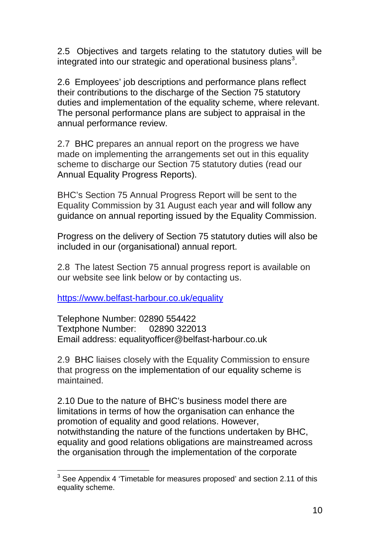2.5 Objectives and targets relating to the statutory duties will be integrated into our strategic and operational business plans<sup>[3](#page-6-0)</sup>.

2.6 Employees' job descriptions and performance plans reflect their contributions to the discharge of the Section 75 statutory duties and implementation of the equality scheme, where relevant. The personal performance plans are subject to appraisal in the annual performance review.

2.7 BHC prepares an annual report on the progress we have made on implementing the arrangements set out in this equality scheme to discharge our Section 75 statutory duties (read our Annual Equality Progress Reports).

BHC's Section 75 Annual Progress Report will be sent to the Equality Commission by 31 August each year and will follow any guidance on annual reporting issued by the Equality Commission.

Progress on the delivery of Section 75 statutory duties will also be included in our (organisational) annual report.

2.8 The latest Section 75 annual progress report is available on our website see link below or by contacting us.

[https://www.belfast-harbour.co.uk/equality](https://www.belfast-harbour.co.uk/about-us/careers)

Telephone Number: 02890 554422 Textphone Number: 02890 322013 Email address: equalityofficer@belfast-harbour.co.uk

2.9 BHC liaises closely with the Equality Commission to ensure that progress on the implementation of our equality scheme is maintained.

2.10 Due to the nature of BHC's business model there are limitations in terms of how the organisation can enhance the promotion of equality and good relations. However, notwithstanding the nature of the functions undertaken by BHC, equality and good relations obligations are mainstreamed across the organisation through the implementation of the corporate

<span id="page-10-0"></span> $\overline{a}$  $3$  See Appendix 4 'Timetable for measures proposed' and section 2.11 of this equality scheme.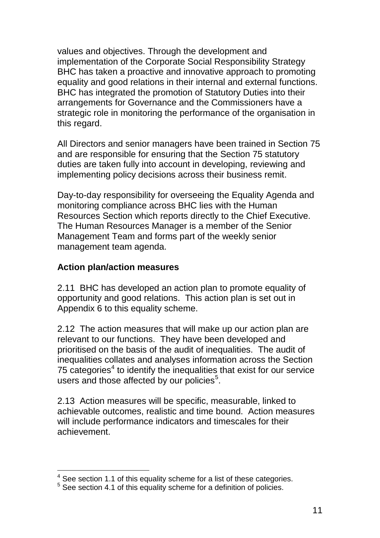values and objectives. Through the development and implementation of the Corporate Social Responsibility Strategy BHC has taken a proactive and innovative approach to promoting equality and good relations in their internal and external functions. BHC has integrated the promotion of Statutory Duties into their arrangements for Governance and the Commissioners have a strategic role in monitoring the performance of the organisation in this regard.

All Directors and senior managers have been trained in Section 75 and are responsible for ensuring that the Section 75 statutory duties are taken fully into account in developing, reviewing and implementing policy decisions across their business remit.

Day-to-day responsibility for overseeing the Equality Agenda and monitoring compliance across BHC lies with the Human Resources Section which reports directly to the Chief Executive. The Human Resources Manager is a member of the Senior Management Team and forms part of the weekly senior management team agenda.

#### **Action plan/action measures**

2.11 BHC has developed an action plan to promote equality of opportunity and good relations. This action plan is set out in Appendix 6 to this equality scheme.

2.12 The action measures that will make up our action plan are relevant to our functions. They have been developed and prioritised on the basis of the audit of inequalities. The audit of inequalities collates and analyses information across the Section 75 categories<sup>[4](#page-10-0)</sup> to identify the inequalities that exist for our service users and those affected by our policies<sup>[5](#page-11-0)</sup>.

2.13 Action measures will be specific, measurable, linked to achievable outcomes, realistic and time bound. Action measures will include performance indicators and timescales for their achievement.

 $\overline{\phantom{a}}$  $^4$  See section 1.1 of this equality scheme for a list of these categories.<br><sup>5</sup> See section 4.1 of this equality scheme for a definition of policies.

<span id="page-11-1"></span><span id="page-11-0"></span>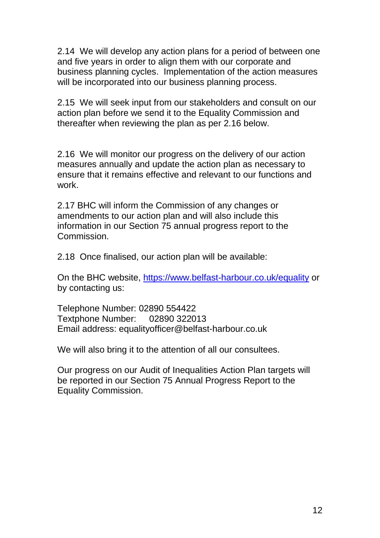2.14 We will develop any action plans for a period of between one and five years in order to align them with our corporate and business planning cycles. Implementation of the action measures will be incorporated into our business planning process.

2.15 We will seek input from our stakeholders and consult on our action plan before we send it to the Equality Commission and thereafter when reviewing the plan as per 2.16 below.

2.16 We will monitor our progress on the delivery of our action measures annually and update the action plan as necessary to ensure that it remains effective and relevant to our functions and work.

2.17 BHC will inform the Commission of any changes or amendments to our action plan and will also include this information in our Section 75 annual progress report to the Commission.

2.18 Once finalised, our action plan will be available:

On the BHC website, [https://www.belfast-harbour.co.uk/equality](https://www.belfast-harbour.co.uk/about-us/careers) or by contacting us:

Telephone Number: 02890 554422 Textphone Number: 02890 322013 Email address: equalityofficer@belfast-harbour.co.uk

We will also bring it to the attention of all our consultees.

Our progress on our Audit of Inequalities Action Plan targets will be reported in our Section 75 Annual Progress Report to the Equality Commission.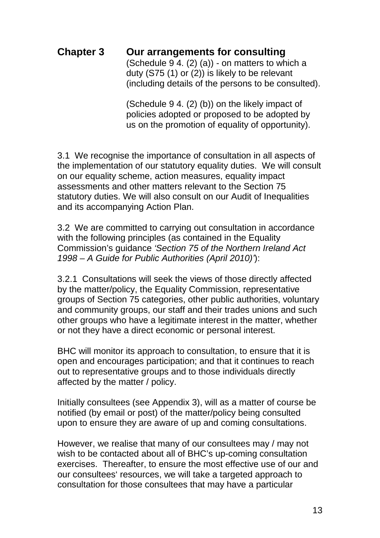#### **Chapter 3 Our arrangements for consulting**  (Schedule  $9$  4. (2) (a)) - on matters to which a

duty (S75 (1) or (2)) is likely to be relevant (including details of the persons to be consulted).

(Schedule 9 4. (2) (b)) on the likely impact of policies adopted or proposed to be adopted by us on the promotion of equality of opportunity).

3.1 We recognise the importance of consultation in all aspects of the implementation of our statutory equality duties. We will consult on our equality scheme, action measures, equality impact assessments and other matters relevant to the Section 75 statutory duties. We will also consult on our Audit of Inequalities and its accompanying Action Plan.

3.2 We are committed to carrying out consultation in accordance with the following principles (as contained in the Equality Commission's guidance *'Section 75 of the Northern Ireland Act 1998 – A Guide for Public Authorities (April 2010)'*):

3.2.1 Consultations will seek the views of those directly affected by the matter/policy, the Equality Commission, representative groups of Section 75 categories, other public authorities, voluntary and community groups, our staff and their trades unions and such other groups who have a legitimate interest in the matter, whether or not they have a direct economic or personal interest.

BHC will monitor its approach to consultation, to ensure that it is open and encourages participation; and that it continues to reach out to representative groups and to those individuals directly affected by the matter / policy.

Initially consultees (see Appendix 3), will as a matter of course be notified (by email or post) of the matter/policy being consulted upon to ensure they are aware of up and coming consultations.

However, we realise that many of our consultees may / may not wish to be contacted about all of BHC's up-coming consultation exercises. Thereafter, to ensure the most effective use of our and our consultees' resources, we will take a targeted approach to consultation for those consultees that may have a particular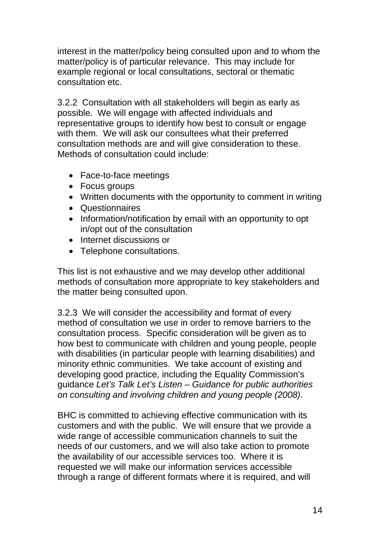interest in the matter/policy being consulted upon and to whom the matter/policy is of particular relevance. This may include for example regional or local consultations, sectoral or thematic consultation etc.

3.2.2 Consultation with all stakeholders will begin as early as possible. We will engage with affected individuals and representative groups to identify how best to consult or engage with them. We will ask our consultees what their preferred consultation methods are and will give consideration to these. Methods of consultation could include:

- Face-to-face meetings
- Focus groups
- Written documents with the opportunity to comment in writing
- Questionnaires
- Information/notification by email with an opportunity to opt in/opt out of the consultation
- Internet discussions or
- Telephone consultations.

This list is not exhaustive and we may develop other additional methods of consultation more appropriate to key stakeholders and the matter being consulted upon.

3.2.3 We will consider the accessibility and format of every method of consultation we use in order to remove barriers to the consultation process. Specific consideration will be given as to how best to communicate with children and young people, people with disabilities (in particular people with learning disabilities) and minority ethnic communities. We take account of existing and developing good practice, including the Equality Commission's guidance *Let's Talk Let's Listen – Guidance for public authorities on consulting and involving children and young people (2008)*.

BHC is committed to achieving effective communication with its customers and with the public. We will ensure that we provide a wide range of accessible communication channels to suit the needs of our customers, and we will also take action to promote the availability of our accessible services too. Where it is requested we will make our information services accessible through a range of different formats where it is required, and will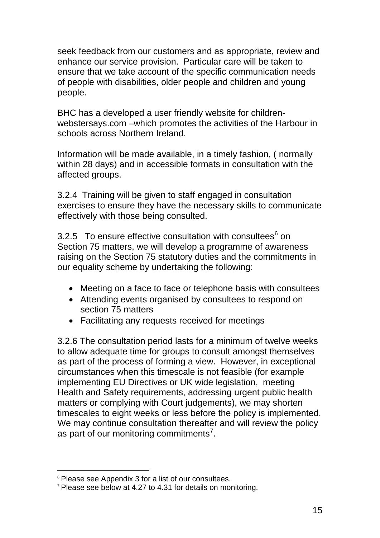seek feedback from our customers and as appropriate, review and enhance our service provision. Particular care will be taken to ensure that we take account of the specific communication needs of people with disabilities, older people and children and young people.

BHC has a developed a user friendly website for childrenwebstersays.com –which promotes the activities of the Harbour in schools across Northern Ireland.

Information will be made available, in a timely fashion, ( normally within 28 days) and in accessible formats in consultation with the affected groups.

3.2.4 Training will be given to staff engaged in consultation exercises to ensure they have the necessary skills to communicate effectively with those being consulted.

3.2.5 To ensure effective consultation with consultees $6$  on Section 75 matters, we will develop a programme of awareness raising on the Section 75 statutory duties and the commitments in our equality scheme by undertaking the following:

- Meeting on a face to face or telephone basis with consultees
- Attending events organised by consultees to respond on section 75 matters
- Facilitating any requests received for meetings

3.2.6 The consultation period lasts for a minimum of twelve weeks to allow adequate time for groups to consult amongst themselves as part of the process of forming a view. However, in exceptional circumstances when this timescale is not feasible (for example implementing EU Directives or UK wide legislation, meeting Health and Safety requirements, addressing urgent public health matters or complying with Court judgements), we may shorten timescales to eight weeks or less before the policy is implemented. We may continue consultation thereafter and will review the policy as part of our monitoring commitments<sup>[7](#page-15-0)</sup>.

<span id="page-15-1"></span> $\overline{a}$ <sup>6</sup> Please see Appendix 3 for a list of our consultees.

<span id="page-15-0"></span><sup>&</sup>lt;sup>7</sup> Please see below at 4.27 to 4.31 for details on monitoring.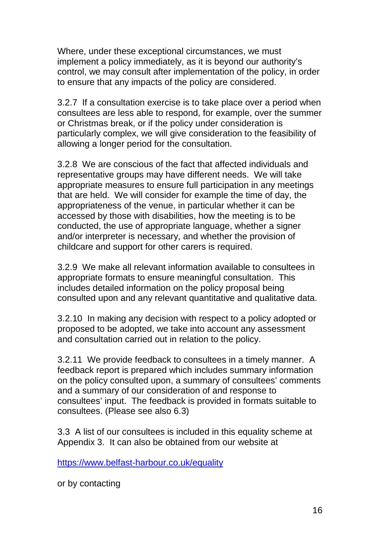Where, under these exceptional circumstances, we must implement a policy immediately, as it is beyond our authority's control, we may consult after implementation of the policy, in order to ensure that any impacts of the policy are considered.

3.2.7 If a consultation exercise is to take place over a period when consultees are less able to respond, for example, over the summer or Christmas break, or if the policy under consideration is particularly complex, we will give consideration to the feasibility of allowing a longer period for the consultation.

3.2.8 We are conscious of the fact that affected individuals and representative groups may have different needs. We will take appropriate measures to ensure full participation in any meetings that are held. We will consider for example the time of day, the appropriateness of the venue, in particular whether it can be accessed by those with disabilities, how the meeting is to be conducted, the use of appropriate language, whether a signer and/or interpreter is necessary, and whether the provision of childcare and support for other carers is required.

3.2.9 We make all relevant information available to consultees in appropriate formats to ensure meaningful consultation. This includes detailed information on the policy proposal being consulted upon and any relevant quantitative and qualitative data.

3.2.10 In making any decision with respect to a policy adopted or proposed to be adopted, we take into account any assessment and consultation carried out in relation to the policy.

3.2.11 We provide feedback to consultees in a timely manner. A feedback report is prepared which includes summary information on the policy consulted upon, a summary of consultees' comments and a summary of our consideration of and response to consultees' input. The feedback is provided in formats suitable to consultees. (Please see also 6.3)

3.3 A list of our consultees is included in this equality scheme at Appendix 3. It can also be obtained from our website at

[https://www.belfast-harbour.co.uk/equality](https://www.belfast-harbour.co.uk/about-us/careers)

or by contacting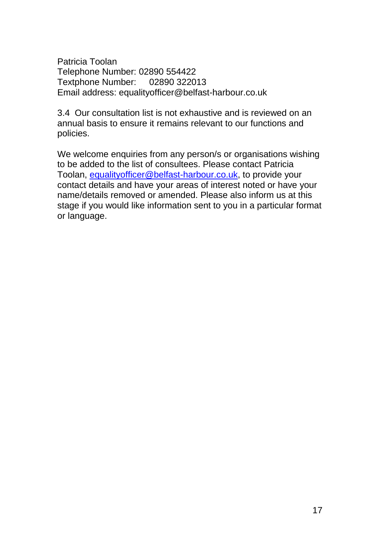Patricia Toolan Telephone Number: 02890 554422 Textphone Number: 02890 322013 Email address: equalityofficer@belfast-harbour.co.uk

3.4 Our consultation list is not exhaustive and is reviewed on an annual basis to ensure it remains relevant to our functions and policies.

We welcome enquiries from any person/s or organisations wishing to be added to the list of consultees. Please contact Patricia Toolan, [equalityofficer@belfast-harbour.co.uk,](mailto:equalityofficer@belfast-harbour.co.uk) to provide your contact details and have your areas of interest noted or have your name/details removed or amended. Please also inform us at this stage if you would like information sent to you in a particular format or language.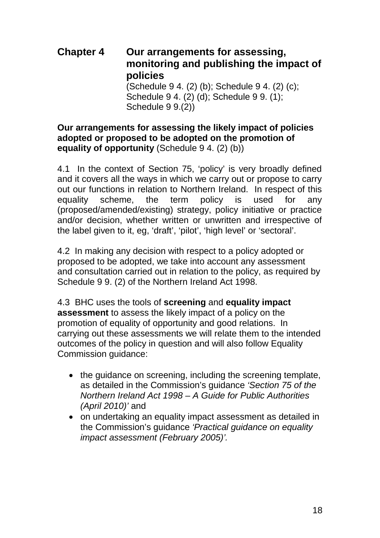# **Chapter 4 Our arrangements for assessing, monitoring and publishing the impact of policies** (Schedule 9 4. (2) (b); Schedule 9 4. (2) (c);

Schedule 9 4. (2) (d); Schedule 9 9. (1); Schedule 9 9.(2))

#### **Our arrangements for assessing the likely impact of policies adopted or proposed to be adopted on the promotion of equality of opportunity** (Schedule 9 4. (2) (b))

4.1 In the context of Section 75, 'policy' is very broadly defined and it covers all the ways in which we carry out or propose to carry out our functions in relation to Northern Ireland. In respect of this equality scheme, the term policy is used for any (proposed/amended/existing) strategy, policy initiative or practice and/or decision, whether written or unwritten and irrespective of the label given to it, eg, 'draft', 'pilot', 'high level' or 'sectoral'.

4.2 In making any decision with respect to a policy adopted or proposed to be adopted, we take into account any assessment and consultation carried out in relation to the policy, as required by Schedule 9 9. (2) of the Northern Ireland Act 1998.

4.3 BHC uses the tools of **screening** and **equality impact assessment** to assess the likely impact of a policy on the promotion of equality of opportunity and good relations. In carrying out these assessments we will relate them to the intended outcomes of the policy in question and will also follow Equality Commission guidance:

- the quidance on screening, including the screening template, as detailed in the Commission's guidance *'Section 75 of the Northern Ireland Act 1998 – A Guide for Public Authorities (April 2010)'* and
- on undertaking an equality impact assessment as detailed in the Commission's guidance *'Practical guidance on equality impact assessment (February 2005)'.*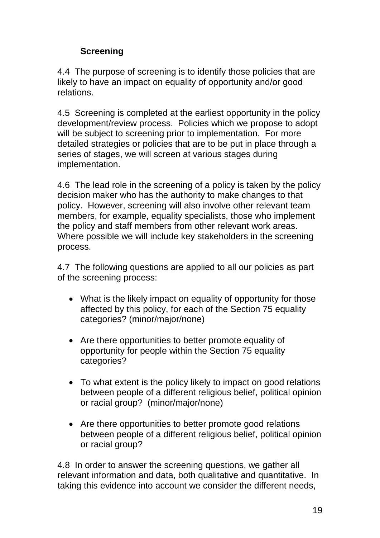# **Screening**

4.4 The purpose of screening is to identify those policies that are likely to have an impact on equality of opportunity and/or good relations.

4.5 Screening is completed at the earliest opportunity in the policy development/review process. Policies which we propose to adopt will be subject to screening prior to implementation. For more detailed strategies or policies that are to be put in place through a series of stages, we will screen at various stages during implementation.

4.6 The lead role in the screening of a policy is taken by the policy decision maker who has the authority to make changes to that policy. However, screening will also involve other relevant team members, for example, equality specialists, those who implement the policy and staff members from other relevant work areas. Where possible we will include key stakeholders in the screening process.

4.7 The following questions are applied to all our policies as part of the screening process:

- What is the likely impact on equality of opportunity for those affected by this policy, for each of the Section 75 equality categories? (minor/major/none)
- Are there opportunities to better promote equality of opportunity for people within the Section 75 equality categories?
- To what extent is the policy likely to impact on good relations between people of a different religious belief, political opinion or racial group? (minor/major/none)
- Are there opportunities to better promote good relations between people of a different religious belief, political opinion or racial group?

4.8 In order to answer the screening questions, we gather all relevant information and data, both qualitative and quantitative. In taking this evidence into account we consider the different needs,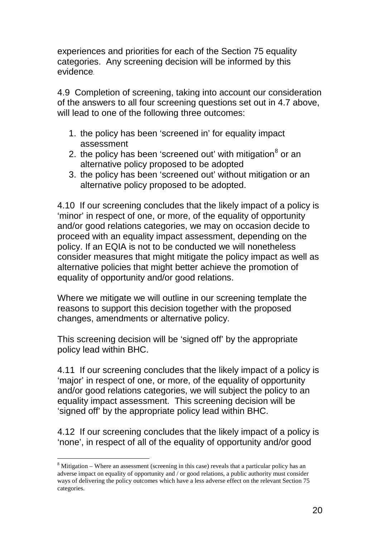experiences and priorities for each of the Section 75 equality categories. Any screening decision will be informed by this evidence.

4.9 Completion of screening, taking into account our consideration of the answers to all four screening questions set out in 4.7 above, will lead to one of the following three outcomes:

- 1. the policy has been 'screened in' for equality impact assessment
- 2. the policy has been 'screened out' with mitigation $<sup>8</sup>$  $<sup>8</sup>$  $<sup>8</sup>$  or an</sup> alternative policy proposed to be adopted
- 3. the policy has been 'screened out' without mitigation or an alternative policy proposed to be adopted.

4.10 If our screening concludes that the likely impact of a policy is 'minor' in respect of one, or more, of the equality of opportunity and/or good relations categories, we may on occasion decide to proceed with an equality impact assessment, depending on the policy. If an EQIA is not to be conducted we will nonetheless consider measures that might mitigate the policy impact as well as alternative policies that might better achieve the promotion of equality of opportunity and/or good relations.

Where we mitigate we will outline in our screening template the reasons to support this decision together with the proposed changes, amendments or alternative policy.

This screening decision will be 'signed off' by the appropriate policy lead within BHC.

4.11 If our screening concludes that the likely impact of a policy is 'major' in respect of one, or more, of the equality of opportunity and/or good relations categories, we will subject the policy to an equality impact assessment. This screening decision will be 'signed off' by the appropriate policy lead within BHC.

4.12 If our screening concludes that the likely impact of a policy is 'none', in respect of all of the equality of opportunity and/or good

 $\overline{a}$ <sup>8</sup> Mitigation – Where an assessment (screening in this case) reveals that a particular policy has an adverse impact on equality of opportunity and / or good relations, a public authority must consider ways of delivering the policy outcomes which have a less adverse effect on the relevant Section 75 categories.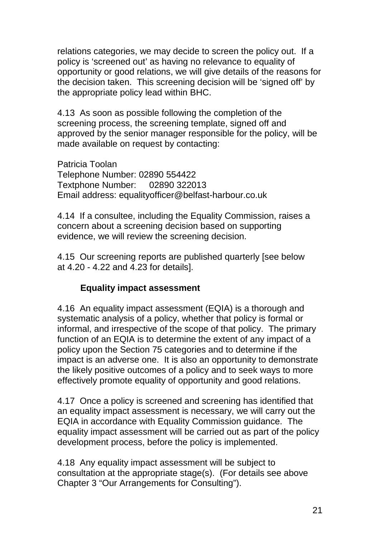relations categories, we may decide to screen the policy out. If a policy is 'screened out' as having no relevance to equality of opportunity or good relations, we will give details of the reasons for the decision taken. This screening decision will be 'signed off' by the appropriate policy lead within BHC.

4.13 As soon as possible following the completion of the screening process, the screening template, signed off and approved by the senior manager responsible for the policy, will be made available on request by contacting:

Patricia Toolan Telephone Number: 02890 554422 Textphone Number: 02890 322013 Email address: equalityofficer@belfast-harbour.co.uk

4.14 If a consultee, including the Equality Commission, raises a concern about a screening decision based on supporting evidence, we will review the screening decision.

4.15 Our screening reports are published quarterly [see below at 4.20 - 4.22 and 4.23 for details].

### **Equality impact assessment**

4.16 An equality impact assessment (EQIA) is a thorough and systematic analysis of a policy, whether that policy is formal or informal, and irrespective of the scope of that policy. The primary function of an EQIA is to determine the extent of any impact of a policy upon the Section 75 categories and to determine if the impact is an adverse one. It is also an opportunity to demonstrate the likely positive outcomes of a policy and to seek ways to more effectively promote equality of opportunity and good relations.

4.17 Once a policy is screened and screening has identified that an equality impact assessment is necessary, we will carry out the EQIA in accordance with Equality Commission guidance. The equality impact assessment will be carried out as part of the policy development process, before the policy is implemented.

4.18 Any equality impact assessment will be subject to consultation at the appropriate stage(s). (For details see above Chapter 3 "Our Arrangements for Consulting").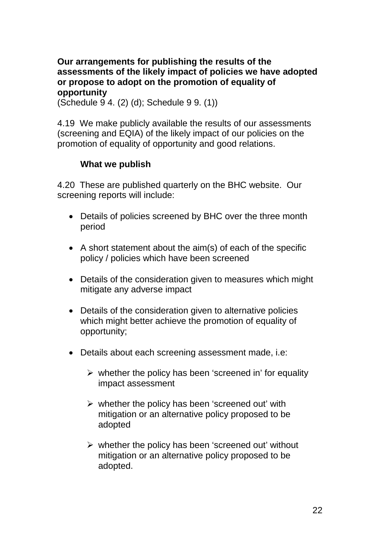#### **Our arrangements for publishing the results of the assessments of the likely impact of policies we have adopted or propose to adopt on the promotion of equality of opportunity**

(Schedule 9 4. (2) (d); Schedule 9 9. (1))

4.19 We make publicly available the results of our assessments (screening and EQIA) of the likely impact of our policies on the promotion of equality of opportunity and good relations.

#### **What we publish**

4.20 These are published quarterly on the BHC website. Our screening reports will include:

- Details of policies screened by BHC over the three month period
- A short statement about the aim(s) of each of the specific policy / policies which have been screened
- Details of the consideration given to measures which might mitigate any adverse impact
- Details of the consideration given to alternative policies which might better achieve the promotion of equality of opportunity;
- Details about each screening assessment made, i.e:
	- $\triangleright$  whether the policy has been 'screened in' for equality impact assessment
	- $\triangleright$  whether the policy has been 'screened out' with mitigation or an alternative policy proposed to be adopted
	- $\triangleright$  whether the policy has been 'screened out' without mitigation or an alternative policy proposed to be adopted.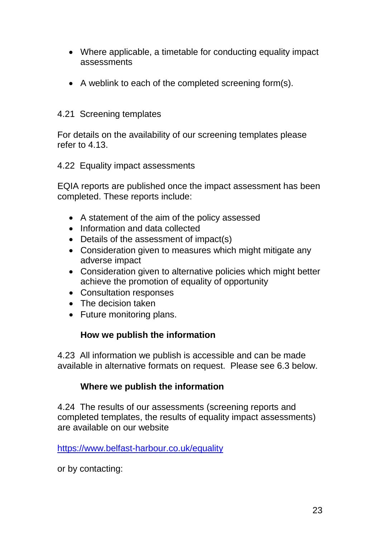- Where applicable, a timetable for conducting equality impact assessments
- A weblink to each of the completed screening form(s).

#### 4.21 Screening templates

For details on the availability of our screening templates please refer to 4.13.

4.22 Equality impact assessments

EQIA reports are published once the impact assessment has been completed. These reports include:

- A statement of the aim of the policy assessed
- Information and data collected
- Details of the assessment of impact(s)
- Consideration given to measures which might mitigate any adverse impact
- Consideration given to alternative policies which might better achieve the promotion of equality of opportunity
- Consultation responses
- The decision taken
- Future monitoring plans.

#### **How we publish the information**

4.23 All information we publish is accessible and can be made available in alternative formats on request. Please see 6.3 below.

#### **Where we publish the information**

4.24 The results of our assessments (screening reports and completed templates, the results of equality impact assessments) are available on our website

[https://www.belfast-harbour.co.uk/equality](https://www.belfast-harbour.co.uk/about-us/careers)

or by contacting: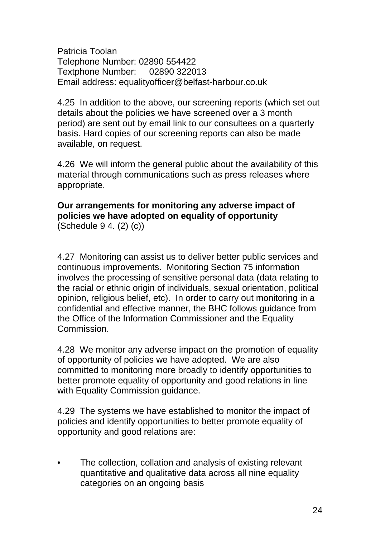Patricia Toolan Telephone Number: 02890 554422 Textphone Number: 02890 322013 Email address: equalityofficer@belfast-harbour.co.uk

4.25 In addition to the above, our screening reports (which set out details about the policies we have screened over a 3 month period) are sent out by email link to our consultees on a quarterly basis. Hard copies of our screening reports can also be made available, on request.

4.26 We will inform the general public about the availability of this material through communications such as press releases where appropriate.

#### **Our arrangements for monitoring any adverse impact of policies we have adopted on equality of opportunity** (Schedule 9 4. (2) (c))

4.27 Monitoring can assist us to deliver better public services and continuous improvements. Monitoring Section 75 information involves the processing of sensitive personal data (data relating to the racial or ethnic origin of individuals, sexual orientation, political opinion, religious belief, etc). In order to carry out monitoring in a confidential and effective manner, the BHC follows guidance from the Office of the Information Commissioner and the Equality Commission.

4.28 We monitor any adverse impact on the promotion of equality of opportunity of policies we have adopted. We are also committed to monitoring more broadly to identify opportunities to better promote equality of opportunity and good relations in line with Equality Commission guidance.

4.29 The systems we have established to monitor the impact of policies and identify opportunities to better promote equality of opportunity and good relations are:

The collection, collation and analysis of existing relevant quantitative and qualitative data across all nine equality categories on an ongoing basis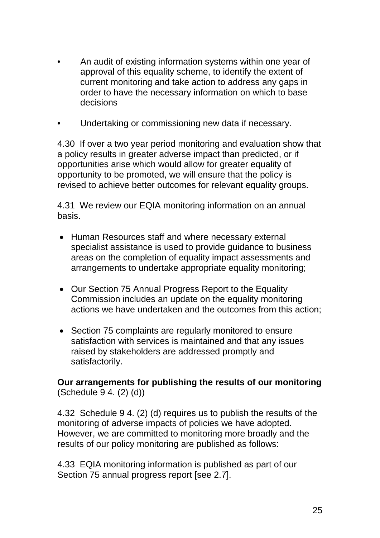- An audit of existing information systems within one year of approval of this equality scheme, to identify the extent of current monitoring and take action to address any gaps in order to have the necessary information on which to base decisions
- Undertaking or commissioning new data if necessary.

4.30 If over a two year period monitoring and evaluation show that a policy results in greater adverse impact than predicted, or if opportunities arise which would allow for greater equality of opportunity to be promoted, we will ensure that the policy is revised to achieve better outcomes for relevant equality groups.

4.31 We review our EQIA monitoring information on an annual basis.

- Human Resources staff and where necessary external specialist assistance is used to provide guidance to business areas on the completion of equality impact assessments and arrangements to undertake appropriate equality monitoring;
- Our Section 75 Annual Progress Report to the Equality Commission includes an update on the equality monitoring actions we have undertaken and the outcomes from this action;
- Section 75 complaints are regularly monitored to ensure satisfaction with services is maintained and that any issues raised by stakeholders are addressed promptly and satisfactorily.

#### **Our arrangements for publishing the results of our monitoring** (Schedule 9 4. (2) (d))

4.32 Schedule 9 4. (2) (d) requires us to publish the results of the monitoring of adverse impacts of policies we have adopted. However, we are committed to monitoring more broadly and the results of our policy monitoring are published as follows:

4.33 EQIA monitoring information is published as part of our Section 75 annual progress report [see 2.7].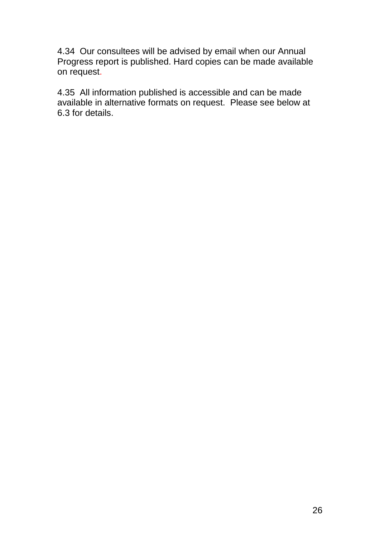4.34 Our consultees will be advised by email when our Annual Progress report is published. Hard copies can be made available on request.

4.35 All information published is accessible and can be made available in alternative formats on request. Please see below at 6.3 for details.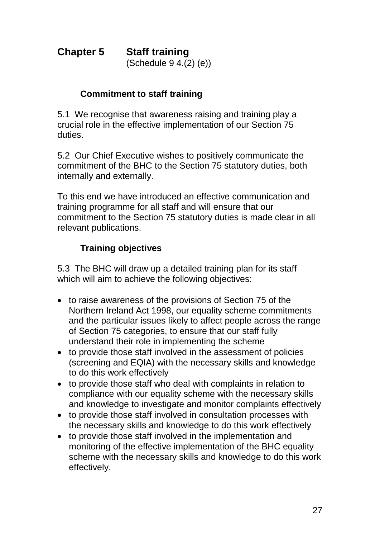## **Chapter 5 Staff training**  (Schedule 9 4.(2) (e))

### **Commitment to staff training**

5.1 We recognise that awareness raising and training play a crucial role in the effective implementation of our Section 75 duties.

5.2 Our Chief Executive wishes to positively communicate the commitment of the BHC to the Section 75 statutory duties, both internally and externally.

To this end we have introduced an effective communication and training programme for all staff and will ensure that our commitment to the Section 75 statutory duties is made clear in all relevant publications.

# **Training objectives**

5.3 The BHC will draw up a detailed training plan for its staff which will aim to achieve the following objectives:

- to raise awareness of the provisions of Section 75 of the Northern Ireland Act 1998, our equality scheme commitments and the particular issues likely to affect people across the range of Section 75 categories, to ensure that our staff fully understand their role in implementing the scheme
- to provide those staff involved in the assessment of policies (screening and EQIA) with the necessary skills and knowledge to do this work effectively
- to provide those staff who deal with complaints in relation to compliance with our equality scheme with the necessary skills and knowledge to investigate and monitor complaints effectively
- to provide those staff involved in consultation processes with the necessary skills and knowledge to do this work effectively
- to provide those staff involved in the implementation and monitoring of the effective implementation of the BHC equality scheme with the necessary skills and knowledge to do this work effectively.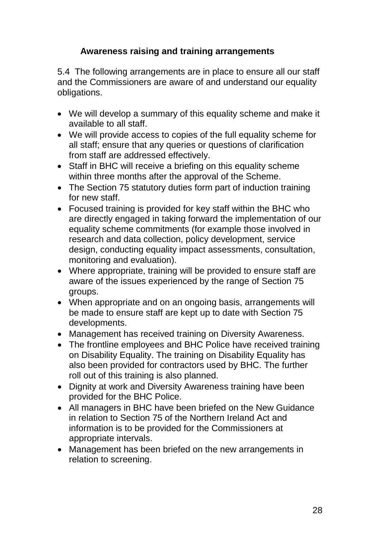# **Awareness raising and training arrangements**

5.4 The following arrangements are in place to ensure all our staff and the Commissioners are aware of and understand our equality obligations.

- We will develop a summary of this equality scheme and make it available to all staff.
- We will provide access to copies of the full equality scheme for all staff; ensure that any queries or questions of clarification from staff are addressed effectively.
- Staff in BHC will receive a briefing on this equality scheme within three months after the approval of the Scheme.
- The Section 75 statutory duties form part of induction training for new staff.
- Focused training is provided for key staff within the BHC who are directly engaged in taking forward the implementation of our equality scheme commitments (for example those involved in research and data collection, policy development, service design, conducting equality impact assessments, consultation, monitoring and evaluation).
- Where appropriate, training will be provided to ensure staff are aware of the issues experienced by the range of Section 75 groups.
- When appropriate and on an ongoing basis, arrangements will be made to ensure staff are kept up to date with Section 75 developments.
- Management has received training on Diversity Awareness.
- The frontline employees and BHC Police have received training on Disability Equality. The training on Disability Equality has also been provided for contractors used by BHC. The further roll out of this training is also planned.
- Dignity at work and Diversity Awareness training have been provided for the BHC Police.
- All managers in BHC have been briefed on the New Guidance in relation to Section 75 of the Northern Ireland Act and information is to be provided for the Commissioners at appropriate intervals.
- Management has been briefed on the new arrangements in relation to screening.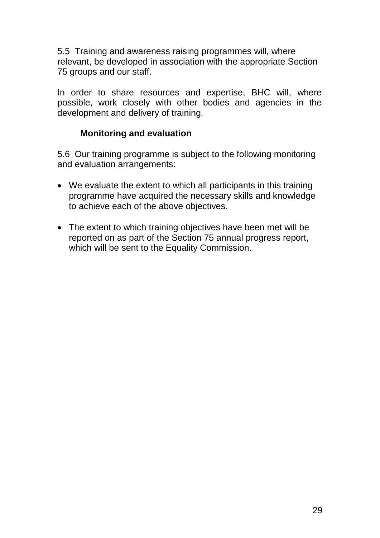5.5 Training and awareness raising programmes will, where relevant, be developed in association with the appropriate Section 75 groups and our staff.

In order to share resources and expertise, BHC will, where possible, work closely with other bodies and agencies in the development and delivery of training.

### **Monitoring and evaluation**

5.6 Our training programme is subject to the following monitoring and evaluation arrangements:

- We evaluate the extent to which all participants in this training programme have acquired the necessary skills and knowledge to achieve each of the above objectives.
- The extent to which training objectives have been met will be reported on as part of the Section 75 annual progress report, which will be sent to the Equality Commission.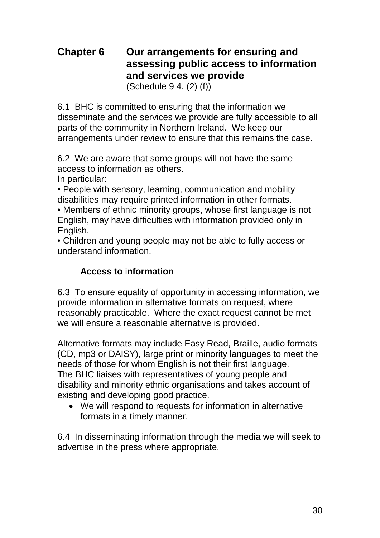# **Chapter 6 Our arrangements for ensuring and assessing public access to information and services we provide**

(Schedule 9 4. (2) (f))

6.1 BHC is committed to ensuring that the information we disseminate and the services we provide are fully accessible to all parts of the community in Northern Ireland. We keep our arrangements under review to ensure that this remains the case.

6.2 We are aware that some groups will not have the same access to information as others. In particular:

• People with sensory, learning, communication and mobility disabilities may require printed information in other formats.

• Members of ethnic minority groups, whose first language is not English, may have difficulties with information provided only in English.

• Children and young people may not be able to fully access or understand information.

# **Access to** i**nformation**

6.3 To ensure equality of opportunity in accessing information, we provide information in alternative formats on request, where reasonably practicable. Where the exact request cannot be met we will ensure a reasonable alternative is provided.

Alternative formats may include Easy Read, Braille, audio formats (CD, mp3 or DAISY), large print or minority languages to meet the needs of those for whom English is not their first language. The BHC liaises with representatives of young people and disability and minority ethnic organisations and takes account of existing and developing good practice.

• We will respond to requests for information in alternative formats in a timely manner.

6.4 In disseminating information through the media we will seek to advertise in the press where appropriate.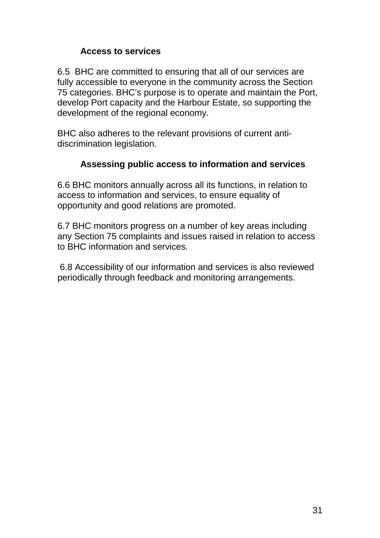## **Access to services**

6.5 BHC are committed to ensuring that all of our services are fully accessible to everyone in the community across the Section 75 categories. BHC's purpose is to operate and maintain the Port, develop Port capacity and the Harbour Estate, so supporting the development of the regional economy.

BHC also adheres to the relevant provisions of current antidiscrimination legislation.

### **Assessing public access to information and services**

6.6 BHC monitors annually across all its functions, in relation to access to information and services, to ensure equality of opportunity and good relations are promoted.

6.7 BHC monitors progress on a number of key areas including any Section 75 complaints and issues raised in relation to access to BHC information and services.

6.8 Accessibility of our information and services is also reviewed periodically through feedback and monitoring arrangements.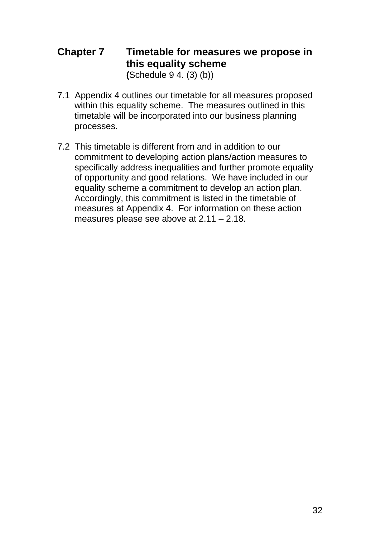# **Chapter 7 Timetable for measures we propose in this equality scheme (**Schedule 9 4. (3) (b))

- 7.1 Appendix 4 outlines our timetable for all measures proposed within this equality scheme. The measures outlined in this timetable will be incorporated into our business planning processes.
- 7.2 This timetable is different from and in addition to our commitment to developing action plans/action measures to specifically address inequalities and further promote equality of opportunity and good relations. We have included in our equality scheme a commitment to develop an action plan. Accordingly, this commitment is listed in the timetable of measures at Appendix 4. For information on these action measures please see above at 2.11 – 2.18.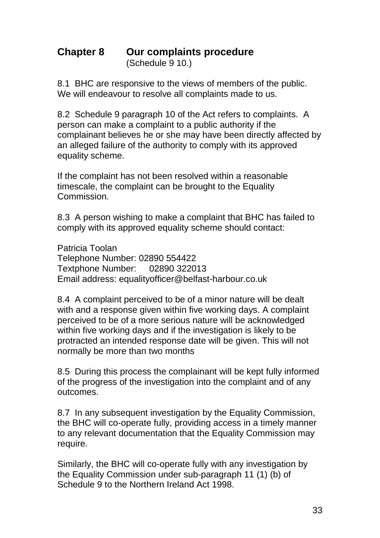#### **Chapter 8 Our complaints procedure**  (Schedule 9 10.)

8.1 BHC are responsive to the views of members of the public. We will endeavour to resolve all complaints made to us.

8.2 Schedule 9 paragraph 10 of the Act refers to complaints. A person can make a complaint to a public authority if the complainant believes he or she may have been directly affected by an alleged failure of the authority to comply with its approved equality scheme.

If the complaint has not been resolved within a reasonable timescale, the complaint can be brought to the Equality Commission.

8.3 A person wishing to make a complaint that BHC has failed to comply with its approved equality scheme should contact:

Patricia Toolan Telephone Number: 02890 554422 Textphone Number: 02890 322013 Email address: equalityofficer@belfast-harbour.co.uk

8.4 A complaint perceived to be of a minor nature will be dealt with and a response given within five working days. A complaint perceived to be of a more serious nature will be acknowledged within five working days and if the investigation is likely to be protracted an intended response date will be given. This will not normally be more than two months

8.5 During this process the complainant will be kept fully informed of the progress of the investigation into the complaint and of any outcomes.

8.7 In any subsequent investigation by the Equality Commission, the BHC will co-operate fully, providing access in a timely manner to any relevant documentation that the Equality Commission may require.

Similarly, the BHC will co-operate fully with any investigation by the Equality Commission under sub-paragraph 11 (1) (b) of Schedule 9 to the Northern Ireland Act 1998.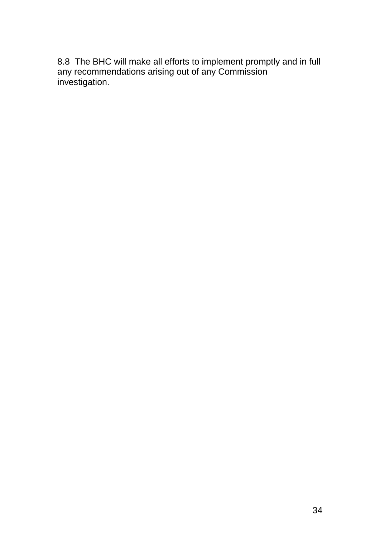8.8 The BHC will make all efforts to implement promptly and in full any recommendations arising out of any Commission investigation.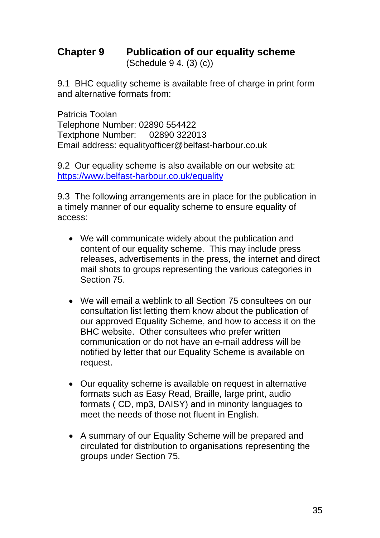#### **Chapter 9 Publication of our equality scheme** (Schedule 9 4. (3) (c))

9.1 BHC equality scheme is available free of charge in print form and alternative formats from:

Patricia Toolan Telephone Number: 02890 554422 Textphone Number: 02890 322013 Email address: equalityofficer@belfast-harbour.co.uk

9.2 Our equality scheme is also available on our website at: [https://www.belfast-harbour.co.uk/equality](https://www.belfast-harbour.co.uk/about-us/careers)

9.3 The following arrangements are in place for the publication in a timely manner of our equality scheme to ensure equality of access:

- We will communicate widely about the publication and content of our equality scheme. This may include press releases, advertisements in the press, the internet and direct mail shots to groups representing the various categories in Section 75.
- We will email a weblink to all Section 75 consultees on our consultation list letting them know about the publication of our approved Equality Scheme, and how to access it on the BHC website. Other consultees who prefer written communication or do not have an e-mail address will be notified by letter that our Equality Scheme is available on request.
- Our equality scheme is available on request in alternative formats such as Easy Read, Braille, large print, audio formats ( CD, mp3, DAISY) and in minority languages to meet the needs of those not fluent in English.
- A summary of our Equality Scheme will be prepared and circulated for distribution to organisations representing the groups under Section 75.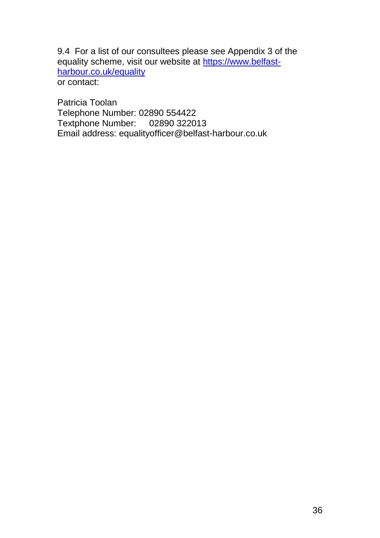9.4 For a list of our consultees please see Appendix 3 of the equality scheme, visit our website at [https://www.belfast](https://www.belfast-harbour.co.uk/about-us/careers)[harbour.co.uk/equality](https://www.belfast-harbour.co.uk/about-us/careers) or contact:

Patricia Toolan Telephone Number: 02890 554422 Textphone Number: 02890 322013 Email address: equalityofficer@belfast-harbour.co.uk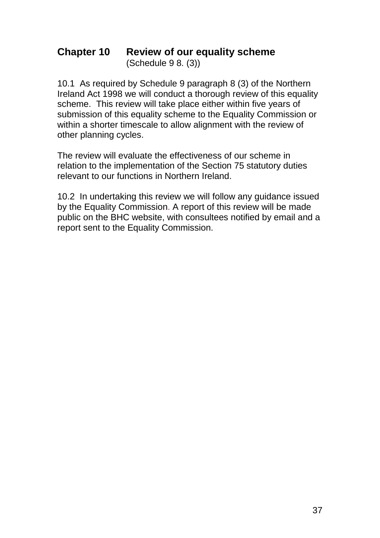#### **Chapter 10 Review of our equality scheme** (Schedule 9 8. (3))

10.1 As required by Schedule 9 paragraph 8 (3) of the Northern Ireland Act 1998 we will conduct a thorough review of this equality scheme. This review will take place either within five years of submission of this equality scheme to the Equality Commission or within a shorter timescale to allow alignment with the review of other planning cycles.

The review will evaluate the effectiveness of our scheme in relation to the implementation of the Section 75 statutory duties relevant to our functions in Northern Ireland.

10.2 In undertaking this review we will follow any guidance issued by the Equality Commission. A report of this review will be made public on the BHC website, with consultees notified by email and a report sent to the Equality Commission.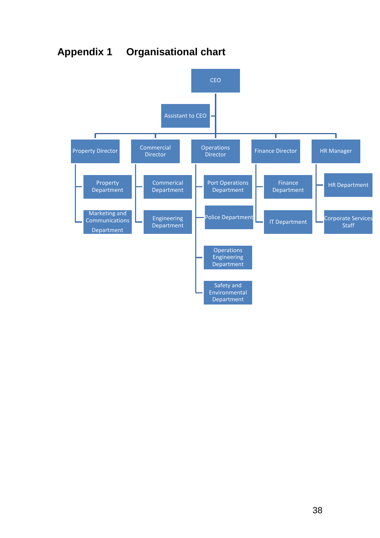

# **Appendix 1 Organisational chart**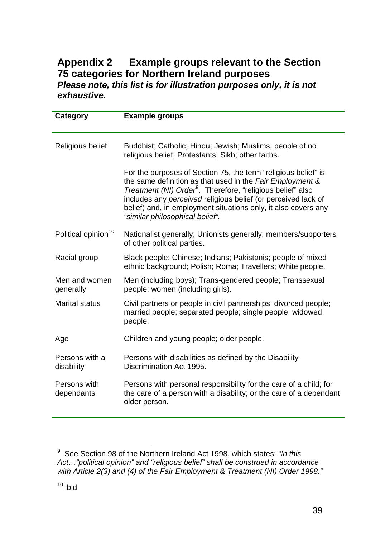## **Appendix 2 Example groups relevant to the Section 75 categories for Northern Ireland purposes**

*Please note, this list is for illustration purposes only, it is not exhaustive.*

| Category                        | <b>Example groups</b>                                                                                                                                                                                                                                                                                                                                                       |
|---------------------------------|-----------------------------------------------------------------------------------------------------------------------------------------------------------------------------------------------------------------------------------------------------------------------------------------------------------------------------------------------------------------------------|
| Religious belief                | Buddhist; Catholic; Hindu; Jewish; Muslims, people of no<br>religious belief; Protestants; Sikh; other faiths.                                                                                                                                                                                                                                                              |
|                                 | For the purposes of Section 75, the term "religious belief" is<br>the same definition as that used in the Fair Employment &<br>Treatment (NI) Order <sup>9</sup> . Therefore, "religious belief" also<br>includes any perceived religious belief (or perceived lack of<br>belief) and, in employment situations only, it also covers any<br>"similar philosophical belief". |
| Political opinion <sup>10</sup> | Nationalist generally; Unionists generally; members/supporters<br>of other political parties.                                                                                                                                                                                                                                                                               |
| Racial group                    | Black people; Chinese; Indians; Pakistanis; people of mixed<br>ethnic background; Polish; Roma; Travellers; White people.                                                                                                                                                                                                                                                   |
| Men and women<br>generally      | Men (including boys); Trans-gendered people; Transsexual<br>people; women (including girls).                                                                                                                                                                                                                                                                                |
| <b>Marital status</b>           | Civil partners or people in civil partnerships; divorced people;<br>married people; separated people; single people; widowed<br>people.                                                                                                                                                                                                                                     |
| Age                             | Children and young people; older people.                                                                                                                                                                                                                                                                                                                                    |
| Persons with a<br>disability    | Persons with disabilities as defined by the Disability<br>Discrimination Act 1995.                                                                                                                                                                                                                                                                                          |
| Persons with<br>dependants      | Persons with personal responsibility for the care of a child; for<br>the care of a person with a disability; or the care of a dependant<br>older person.                                                                                                                                                                                                                    |

<span id="page-39-0"></span> 9 See Section 98 of the Northern Ireland Act 1998, which states: *"In this Act…"political opinion" and "religious belief" shall be construed in accordance with Article 2(3) and (4) of the Fair Employment & Treatment (NI) Order 1998."*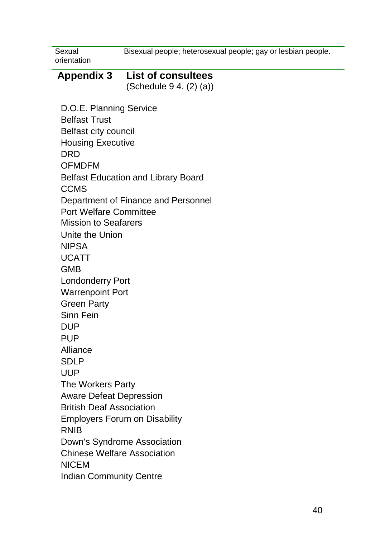Bisexual people; heterosexual people; gay or lesbian people.

Sexual orientation

**Appendix 3 List of consultees**  (Schedule 9 4. (2) (a))

D.O.E. Planning Service Belfast Trust Belfast city council Housing Executive DRD OFMDFM Belfast Education and Library Board **CCMS** Department of Finance and Personnel Port Welfare Committee Mission to Seafarers Unite the Union NIPSA UCATT GMB Londonderry Port Warrenpoint Port Green Party Sinn Fein **DUP** PUP Alliance SDLP UUP The Workers Party Aware Defeat Depression British Deaf Association Employers Forum on Disability RNIB Down's Syndrome Association Chinese Welfare Association NICEM Indian Community Centre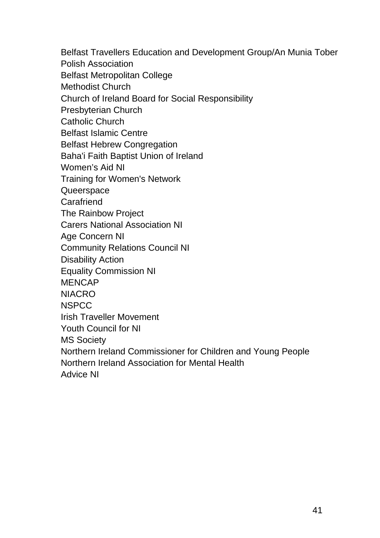Belfast Travellers Education and Development Group/An Munia Tober

Polish Association

Belfast Metropolitan College

Methodist Church

Church of Ireland Board for Social Responsibility

Presbyterian Church

Catholic Church

Belfast Islamic Centre

Belfast Hebrew Congregation

Baha'i Faith Baptist Union of Ireland

Women's Aid NI

Training for Women's Network

**Queerspace** 

**Carafriend** 

The Rainbow Project

Carers National Association NI

Age Concern NI

Community Relations Council NI

Disability Action

Equality Commission NI

**MENCAP** 

NIACRO

**NSPCC** 

Irish Traveller Movement

Youth Council for NI

MS Society

Northern Ireland Commissioner for Children and Young People Northern Ireland Association for Mental Health

Advice NI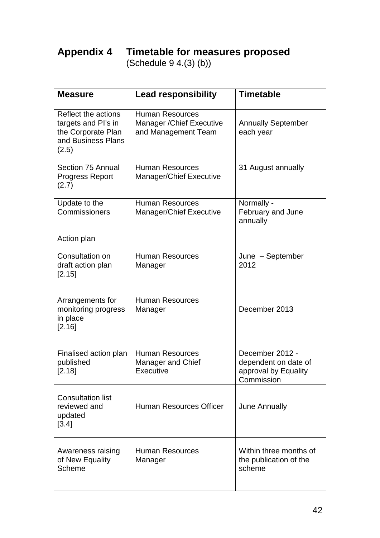# **Appendix 4 Timetable for measures proposed**

(Schedule 9 4.(3) (b))

| <b>Measure</b>                                                                                  | <b>Lead responsibility</b>                                                        | <b>Timetable</b>                                                              |
|-------------------------------------------------------------------------------------------------|-----------------------------------------------------------------------------------|-------------------------------------------------------------------------------|
| Reflect the actions<br>targets and PI's in<br>the Corporate Plan<br>and Business Plans<br>(2.5) | <b>Human Resources</b><br><b>Manager / Chief Executive</b><br>and Management Team | <b>Annually September</b><br>each year                                        |
| Section 75 Annual<br><b>Progress Report</b><br>(2.7)                                            | <b>Human Resources</b><br>Manager/Chief Executive                                 | 31 August annually                                                            |
| Update to the<br>Commissioners                                                                  | <b>Human Resources</b><br><b>Manager/Chief Executive</b>                          | Normally -<br>February and June<br>annually                                   |
| Action plan                                                                                     |                                                                                   |                                                                               |
| Consultation on<br>draft action plan<br>[2.15]                                                  | <b>Human Resources</b><br>Manager                                                 | June - September<br>2012                                                      |
| Arrangements for<br>monitoring progress<br>in place<br>[2.16]                                   | <b>Human Resources</b><br>Manager                                                 | December 2013                                                                 |
| Finalised action plan<br>published<br>[2.18]                                                    | <b>Human Resources</b><br>Manager and Chief<br>Executive                          | December 2012 -<br>dependent on date of<br>approval by Equality<br>Commission |
| <b>Consultation list</b><br>reviewed and<br>updated<br>[3.4]                                    | Human Resources Officer                                                           | <b>June Annually</b>                                                          |
| Awareness raising<br>of New Equality<br>Scheme                                                  | <b>Human Resources</b><br>Manager                                                 | Within three months of<br>the publication of the<br>scheme                    |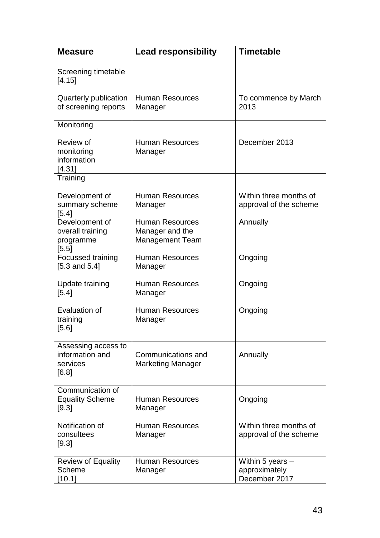| <b>Measure</b>                                              | <b>Lead responsibility</b>                                          | <b>Timetable</b>                                     |
|-------------------------------------------------------------|---------------------------------------------------------------------|------------------------------------------------------|
| Screening timetable<br>[4.15]                               |                                                                     |                                                      |
| Quarterly publication<br>of screening reports               | <b>Human Resources</b><br>Manager                                   | To commence by March<br>2013                         |
| Monitoring                                                  |                                                                     |                                                      |
| Review of<br>monitoring<br>information<br>[4.31]            | <b>Human Resources</b><br>Manager                                   | December 2013                                        |
| Training                                                    |                                                                     |                                                      |
| Development of<br>summary scheme<br>$[5.4]$                 | <b>Human Resources</b><br>Manager                                   | Within three months of<br>approval of the scheme     |
| Development of<br>overall training<br>programme<br>[5.5]    | <b>Human Resources</b><br>Manager and the<br><b>Management Team</b> | Annually                                             |
| Focussed training<br>$[5.3 \text{ and } 5.4]$               | <b>Human Resources</b><br>Manager                                   | Ongoing                                              |
| Update training<br>[5.4]                                    | <b>Human Resources</b><br>Manager                                   | Ongoing                                              |
| Evaluation of<br>training<br>[5.6]                          | <b>Human Resources</b><br>Manager                                   | Ongoing                                              |
| Assessing access to<br>information and<br>services<br>[6.8] | Communications and<br><b>Marketing Manager</b>                      | Annually                                             |
| Communication of<br><b>Equality Scheme</b><br>[9.3]         | <b>Human Resources</b><br>Manager                                   | Ongoing                                              |
| Notification of<br>consultees<br>$[9.3]$                    | <b>Human Resources</b><br>Manager                                   | Within three months of<br>approval of the scheme     |
| <b>Review of Equality</b><br>Scheme<br>$[10.1]$             | <b>Human Resources</b><br>Manager                                   | Within 5 years $-$<br>approximately<br>December 2017 |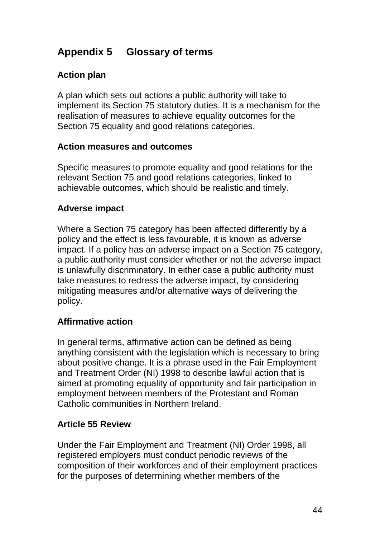## **Appendix 5 Glossary of terms**

## **Action plan**

A plan which sets out actions a public authority will take to implement its Section 75 statutory duties. It is a mechanism for the realisation of measures to achieve equality outcomes for the Section 75 equality and good relations categories.

#### **Action measures and outcomes**

Specific measures to promote equality and good relations for the relevant Section 75 and good relations categories, linked to achievable outcomes, which should be realistic and timely.

#### **Adverse impact**

Where a Section 75 category has been affected differently by a policy and the effect is less favourable, it is known as adverse impact. If a policy has an adverse impact on a Section 75 category, a public authority must consider whether or not the adverse impact is unlawfully discriminatory. In either case a public authority must take measures to redress the adverse impact, by considering mitigating measures and/or alternative ways of delivering the policy.

## **Affirmative action**

In general terms, affirmative action can be defined as being anything consistent with the legislation which is necessary to bring about positive change. It is a phrase used in the Fair Employment and Treatment Order (NI) 1998 to describe lawful action that is aimed at promoting equality of opportunity and fair participation in employment between members of the Protestant and Roman Catholic communities in Northern Ireland.

## **Article 55 Review**

Under the Fair Employment and Treatment (NI) Order 1998, all registered employers must conduct periodic reviews of the composition of their workforces and of their employment practices for the purposes of determining whether members of the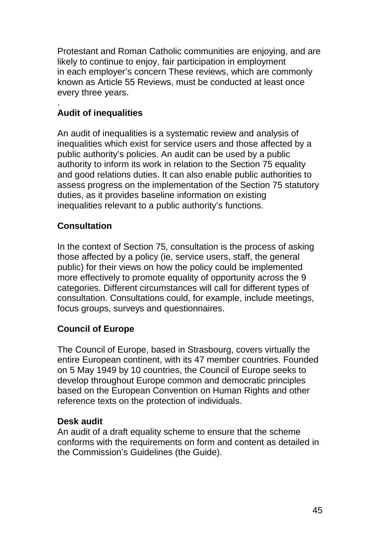Protestant and Roman Catholic communities are enjoying, and are likely to continue to enjoy, fair participation in employment in each employer's concern These reviews, which are commonly known as Article 55 Reviews, must be conducted at least once every three years.

#### . **Audit of inequalities**

An audit of inequalities is a systematic review and analysis of inequalities which exist for service users and those affected by a public authority's policies. An audit can be used by a public authority to inform its work in relation to the Section 75 equality and good relations duties. It can also enable public authorities to assess progress on the implementation of the Section 75 statutory duties, as it provides baseline information on existing inequalities relevant to a public authority's functions.

## **Consultation**

In the context of Section 75, consultation is the process of asking those affected by a policy (ie, service users, staff, the general public) for their views on how the policy could be implemented more effectively to promote equality of opportunity across the 9 categories. Different circumstances will call for different types of consultation. Consultations could, for example, include meetings, focus groups, surveys and questionnaires.

## **Council of Europe**

The Council of Europe, based in Strasbourg, covers virtually the entire European continent, with its 47 member countries. Founded on 5 May 1949 by 10 countries, the Council of Europe seeks to develop throughout Europe common and democratic principles based on the European Convention on Human Rights and other reference texts on the protection of individuals.

#### **Desk audit**

An audit of a draft equality scheme to ensure that the scheme conforms with the requirements on form and content as detailed in the Commission's Guidelines (the Guide).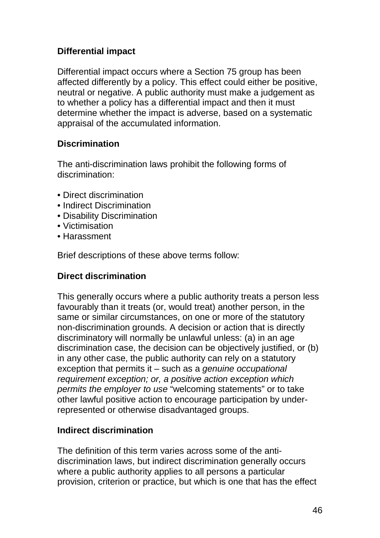## **Differential impact**

Differential impact occurs where a Section 75 group has been affected differently by a policy. This effect could either be positive, neutral or negative. A public authority must make a judgement as to whether a policy has a differential impact and then it must determine whether the impact is adverse, based on a systematic appraisal of the accumulated information.

## **Discrimination**

The anti-discrimination laws prohibit the following forms of discrimination:

- Direct discrimination
- Indirect Discrimination
- Disability Discrimination
- Victimisation
- Harassment

Brief descriptions of these above terms follow:

## **Direct discrimination**

This generally occurs where a public authority treats a person less favourably than it treats (or, would treat) another person, in the same or similar circumstances, on one or more of the statutory non-discrimination grounds. A decision or action that is directly discriminatory will normally be unlawful unless: (a) in an age discrimination case, the decision can be objectively justified, or (b) in any other case, the public authority can rely on a statutory exception that permits it – such as a *genuine occupational requirement exception; or, a positive action exception which permits the employer to use* "welcoming statements" or to take other lawful positive action to encourage participation by underrepresented or otherwise disadvantaged groups.

#### **Indirect discrimination**

The definition of this term varies across some of the antidiscrimination laws, but indirect discrimination generally occurs where a public authority applies to all persons a particular provision, criterion or practice, but which is one that has the effect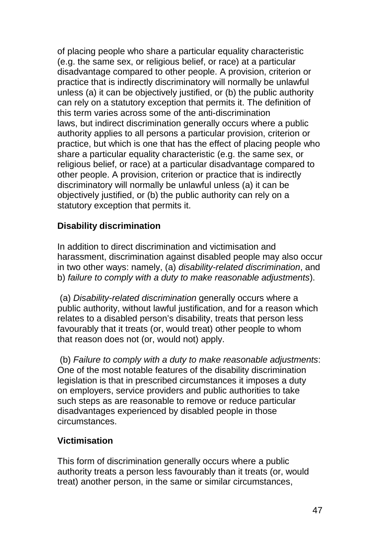of placing people who share a particular equality characteristic (e.g. the same sex, or religious belief, or race) at a particular disadvantage compared to other people. A provision, criterion or practice that is indirectly discriminatory will normally be unlawful unless (a) it can be objectively justified, or (b) the public authority can rely on a statutory exception that permits it. The definition of this term varies across some of the anti-discrimination laws, but indirect discrimination generally occurs where a public authority applies to all persons a particular provision, criterion or practice, but which is one that has the effect of placing people who share a particular equality characteristic (e.g. the same sex, or religious belief, or race) at a particular disadvantage compared to other people. A provision, criterion or practice that is indirectly discriminatory will normally be unlawful unless (a) it can be objectively justified, or (b) the public authority can rely on a statutory exception that permits it.

## **Disability discrimination**

In addition to direct discrimination and victimisation and harassment, discrimination against disabled people may also occur in two other ways: namely, (a) *disability-related discrimination*, and b) *failure to comply with a duty to make reasonable adjustments*).

(a) *Disability-related discrimination* generally occurs where a public authority, without lawful justification, and for a reason which relates to a disabled person's disability, treats that person less favourably that it treats (or, would treat) other people to whom that reason does not (or, would not) apply.

(b) *Failure to comply with a duty to make reasonable adjustments*: One of the most notable features of the disability discrimination legislation is that in prescribed circumstances it imposes a duty on employers, service providers and public authorities to take such steps as are reasonable to remove or reduce particular disadvantages experienced by disabled people in those circumstances.

## **Victimisation**

This form of discrimination generally occurs where a public authority treats a person less favourably than it treats (or, would treat) another person, in the same or similar circumstances,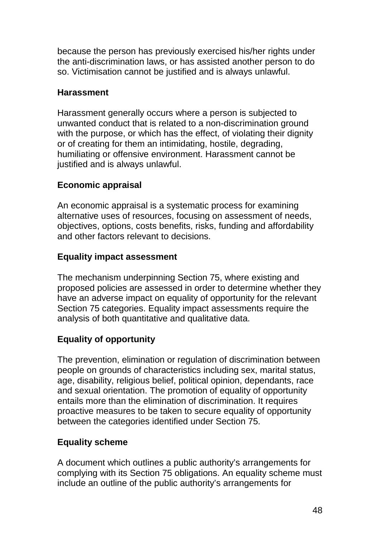because the person has previously exercised his/her rights under the anti-discrimination laws, or has assisted another person to do so. Victimisation cannot be justified and is always unlawful.

#### **Harassment**

Harassment generally occurs where a person is subjected to unwanted conduct that is related to a non-discrimination ground with the purpose, or which has the effect, of violating their dignity or of creating for them an intimidating, hostile, degrading, humiliating or offensive environment. Harassment cannot be justified and is always unlawful.

## **Economic appraisal**

An economic appraisal is a systematic process for examining alternative uses of resources, focusing on assessment of needs, objectives, options, costs benefits, risks, funding and affordability and other factors relevant to decisions.

#### **Equality impact assessment**

The mechanism underpinning Section 75, where existing and proposed policies are assessed in order to determine whether they have an adverse impact on equality of opportunity for the relevant Section 75 categories. Equality impact assessments require the analysis of both quantitative and qualitative data.

## **Equality of opportunity**

The prevention, elimination or regulation of discrimination between people on grounds of characteristics including sex, marital status, age, disability, religious belief, political opinion, dependants, race and sexual orientation. The promotion of equality of opportunity entails more than the elimination of discrimination. It requires proactive measures to be taken to secure equality of opportunity between the categories identified under Section 75.

## **Equality scheme**

A document which outlines a public authority's arrangements for complying with its Section 75 obligations. An equality scheme must include an outline of the public authority's arrangements for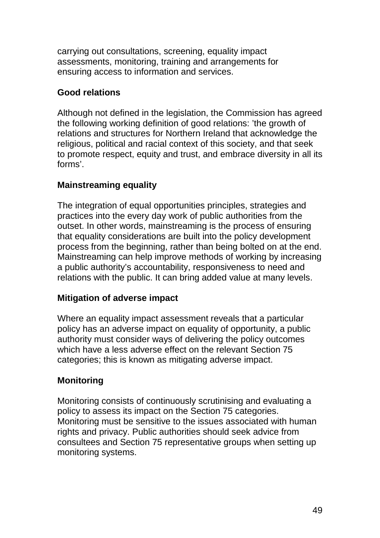carrying out consultations, screening, equality impact assessments, monitoring, training and arrangements for ensuring access to information and services.

## **Good relations**

Although not defined in the legislation, the Commission has agreed the following working definition of good relations: 'the growth of relations and structures for Northern Ireland that acknowledge the religious, political and racial context of this society, and that seek to promote respect, equity and trust, and embrace diversity in all its forms'.

## **Mainstreaming equality**

The integration of equal opportunities principles, strategies and practices into the every day work of public authorities from the outset. In other words, mainstreaming is the process of ensuring that equality considerations are built into the policy development process from the beginning, rather than being bolted on at the end. Mainstreaming can help improve methods of working by increasing a public authority's accountability, responsiveness to need and relations with the public. It can bring added value at many levels.

#### **Mitigation of adverse impact**

Where an equality impact assessment reveals that a particular policy has an adverse impact on equality of opportunity, a public authority must consider ways of delivering the policy outcomes which have a less adverse effect on the relevant Section 75 categories; this is known as mitigating adverse impact.

#### **Monitoring**

Monitoring consists of continuously scrutinising and evaluating a policy to assess its impact on the Section 75 categories. Monitoring must be sensitive to the issues associated with human rights and privacy. Public authorities should seek advice from consultees and Section 75 representative groups when setting up monitoring systems.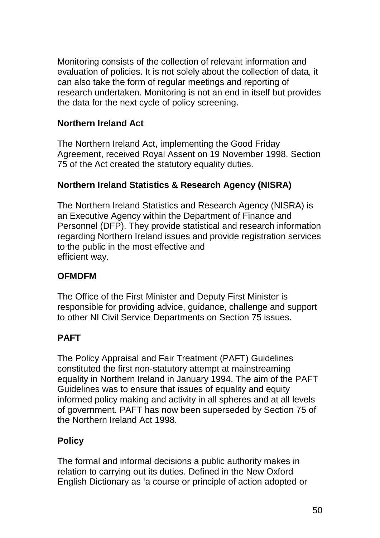Monitoring consists of the collection of relevant information and evaluation of policies. It is not solely about the collection of data, it can also take the form of regular meetings and reporting of research undertaken. Monitoring is not an end in itself but provides the data for the next cycle of policy screening.

## **Northern Ireland Act**

The Northern Ireland Act, implementing the Good Friday Agreement, received Royal Assent on 19 November 1998. Section 75 of the Act created the statutory equality duties.

## **Northern Ireland Statistics & Research Agency (NISRA)**

The Northern Ireland Statistics and Research Agency (NISRA) is an Executive Agency within the Department of Finance and Personnel (DFP). They provide statistical and research information regarding Northern Ireland issues and provide registration services to the public in the most effective and efficient way.

#### **OFMDFM**

The Office of the First Minister and Deputy First Minister is responsible for providing advice, guidance, challenge and support to other NI Civil Service Departments on Section 75 issues.

## **PAFT**

The Policy Appraisal and Fair Treatment (PAFT) Guidelines constituted the first non-statutory attempt at mainstreaming equality in Northern Ireland in January 1994. The aim of the PAFT Guidelines was to ensure that issues of equality and equity informed policy making and activity in all spheres and at all levels of government. PAFT has now been superseded by Section 75 of the Northern Ireland Act 1998.

#### **Policy**

The formal and informal decisions a public authority makes in relation to carrying out its duties. Defined in the New Oxford English Dictionary as 'a course or principle of action adopted or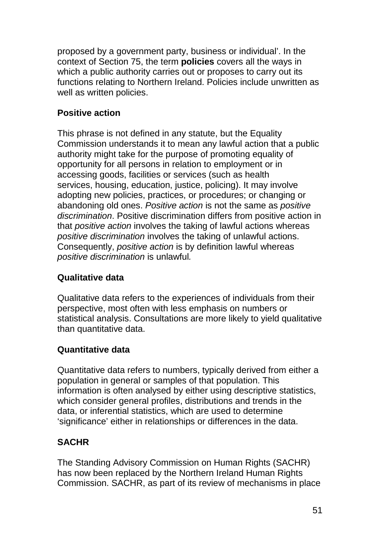proposed by a government party, business or individual'. In the context of Section 75, the term **policies** covers all the ways in which a public authority carries out or proposes to carry out its functions relating to Northern Ireland. Policies include unwritten as well as written policies.

## **Positive action**

This phrase is not defined in any statute, but the Equality Commission understands it to mean any lawful action that a public authority might take for the purpose of promoting equality of opportunity for all persons in relation to employment or in accessing goods, facilities or services (such as health services, housing, education, justice, policing). It may involve adopting new policies, practices, or procedures; or changing or abandoning old ones. *Positive action* is not the same as *positive discrimination*. Positive discrimination differs from positive action in that *positive action* involves the taking of lawful actions whereas *positive discrimination* involves the taking of unlawful actions. Consequently, *positive action* is by definition lawful whereas *positive discrimination* is unlawful*.*

## **Qualitative data**

Qualitative data refers to the experiences of individuals from their perspective, most often with less emphasis on numbers or statistical analysis. Consultations are more likely to yield qualitative than quantitative data.

## **Quantitative data**

Quantitative data refers to numbers, typically derived from either a population in general or samples of that population. This information is often analysed by either using descriptive statistics, which consider general profiles, distributions and trends in the data, or inferential statistics, which are used to determine 'significance' either in relationships or differences in the data.

## **SACHR**

The Standing Advisory Commission on Human Rights (SACHR) has now been replaced by the Northern Ireland Human Rights Commission. SACHR, as part of its review of mechanisms in place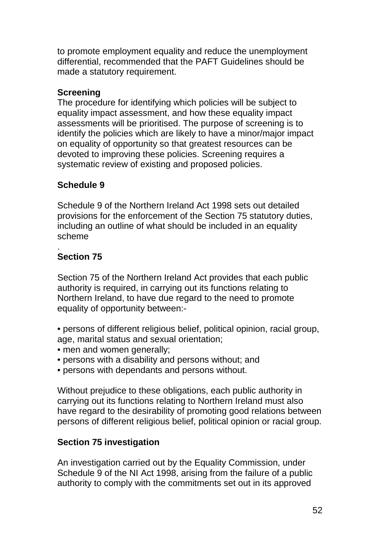to promote employment equality and reduce the unemployment differential, recommended that the PAFT Guidelines should be made a statutory requirement.

## **Screening**

The procedure for identifying which policies will be subject to equality impact assessment, and how these equality impact assessments will be prioritised. The purpose of screening is to identify the policies which are likely to have a minor/major impact on equality of opportunity so that greatest resources can be devoted to improving these policies. Screening requires a systematic review of existing and proposed policies.

## **Schedule 9**

Schedule 9 of the Northern Ireland Act 1998 sets out detailed provisions for the enforcement of the Section 75 statutory duties, including an outline of what should be included in an equality scheme

#### . **Section 75**

Section 75 of the Northern Ireland Act provides that each public authority is required, in carrying out its functions relating to Northern Ireland, to have due regard to the need to promote equality of opportunity between:-

- persons of different religious belief, political opinion, racial group, age, marital status and sexual orientation;
- men and women generally;
- persons with a disability and persons without; and
- persons with dependants and persons without.

Without prejudice to these obligations, each public authority in carrying out its functions relating to Northern Ireland must also have regard to the desirability of promoting good relations between persons of different religious belief, political opinion or racial group.

## **Section 75 investigation**

An investigation carried out by the Equality Commission, under Schedule 9 of the NI Act 1998, arising from the failure of a public authority to comply with the commitments set out in its approved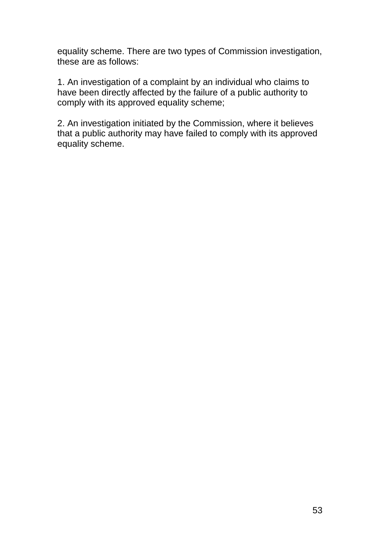equality scheme. There are two types of Commission investigation, these are as follows:

1. An investigation of a complaint by an individual who claims to have been directly affected by the failure of a public authority to comply with its approved equality scheme;

2. An investigation initiated by the Commission, where it believes that a public authority may have failed to comply with its approved equality scheme.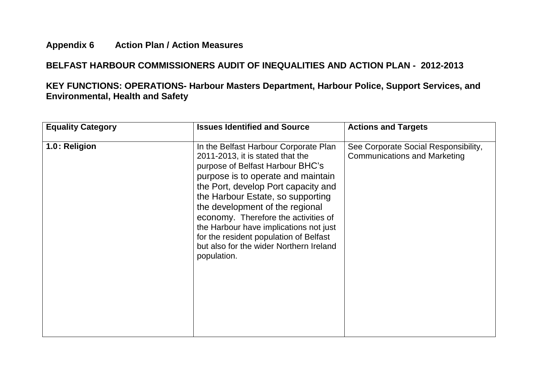#### **Appendix 6 Action Plan / Action Measures**

#### **BELFAST HARBOUR COMMISSIONERS AUDIT OF INEQUALITIES AND ACTION PLAN - 2012-2013**

**KEY FUNCTIONS: OPERATIONS- Harbour Masters Department, Harbour Police, Support Services, and Environmental, Health and Safety** 

| <b>Equality Category</b> | <b>Issues Identified and Source</b>                                                                                                                                                                                                                                                                                                                                                                                                                      | <b>Actions and Targets</b>                                                  |
|--------------------------|----------------------------------------------------------------------------------------------------------------------------------------------------------------------------------------------------------------------------------------------------------------------------------------------------------------------------------------------------------------------------------------------------------------------------------------------------------|-----------------------------------------------------------------------------|
| 1.0: Religion            | In the Belfast Harbour Corporate Plan<br>2011-2013, it is stated that the<br>purpose of Belfast Harbour BHC's<br>purpose is to operate and maintain<br>the Port, develop Port capacity and<br>the Harbour Estate, so supporting<br>the development of the regional<br>economy. Therefore the activities of<br>the Harbour have implications not just<br>for the resident population of Belfast<br>but also for the wider Northern Ireland<br>population. | See Corporate Social Responsibility,<br><b>Communications and Marketing</b> |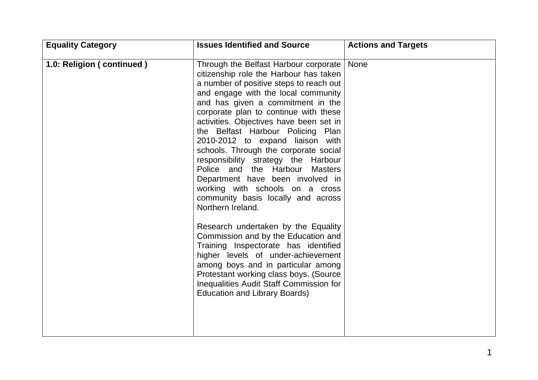| <b>Equality Category</b>  | <b>Issues Identified and Source</b>                                                                                                                                                                                                                                                                                                                                                                                                                                                                                                                                                                                                                                                                                                                                                                                                                                                                                                                           | <b>Actions and Targets</b> |
|---------------------------|---------------------------------------------------------------------------------------------------------------------------------------------------------------------------------------------------------------------------------------------------------------------------------------------------------------------------------------------------------------------------------------------------------------------------------------------------------------------------------------------------------------------------------------------------------------------------------------------------------------------------------------------------------------------------------------------------------------------------------------------------------------------------------------------------------------------------------------------------------------------------------------------------------------------------------------------------------------|----------------------------|
| 1.0: Religion (continued) | Through the Belfast Harbour corporate   None<br>citizenship role the Harbour has taken<br>a number of positive steps to reach out<br>and engage with the local community<br>and has given a commitment in the<br>corporate plan to continue with these<br>activities. Objectives have been set in<br>the Belfast Harbour Policing Plan<br>2010-2012 to expand liaison with<br>schools. Through the corporate social<br>responsibility strategy the Harbour<br>Police and the Harbour Masters<br>Department have been involved in<br>working with schools on a cross<br>community basis locally and across<br>Northern Ireland.<br>Research undertaken by the Equality<br>Commission and by the Education and<br>Training Inspectorate has identified<br>higher levels of under-achievement<br>among boys and in particular among<br>Protestant working class boys. (Source<br>Inequalities Audit Staff Commission for<br><b>Education and Library Boards)</b> |                            |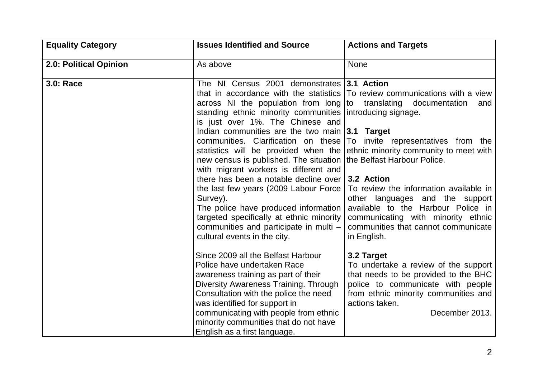| <b>Equality Category</b> | <b>Issues Identified and Source</b>                                                                                                                                                                                                                                                                                                                                                                                                                                                                                                                                                                                 | <b>Actions and Targets</b>                                                                                                                                                                                                                                                                                                                                                                                                                                                                                             |
|--------------------------|---------------------------------------------------------------------------------------------------------------------------------------------------------------------------------------------------------------------------------------------------------------------------------------------------------------------------------------------------------------------------------------------------------------------------------------------------------------------------------------------------------------------------------------------------------------------------------------------------------------------|------------------------------------------------------------------------------------------------------------------------------------------------------------------------------------------------------------------------------------------------------------------------------------------------------------------------------------------------------------------------------------------------------------------------------------------------------------------------------------------------------------------------|
| 2.0: Political Opinion   | As above                                                                                                                                                                                                                                                                                                                                                                                                                                                                                                                                                                                                            | <b>None</b>                                                                                                                                                                                                                                                                                                                                                                                                                                                                                                            |
| 3.0: Race                | The NI Census 2001 demonstrates 3.1 Action<br>across NI the population from long to<br>standing ethnic minority communities introducing signage.<br>is just over 1%. The Chinese and<br>Indian communities are the two main $ 3.1 \text{ Target}$<br>new census is published. The situation<br>with migrant workers is different and<br>there has been a notable decline over $\vert$ 3.2 Action<br>the last few years (2009 Labour Force<br>Survey).<br>The police have produced information<br>targeted specifically at ethnic minority<br>communities and participate in multi -<br>cultural events in the city. | that in accordance with the statistics To review communications with a view<br>translating documentation<br>and<br>communities. Clarification on these To invite representatives from the<br>statistics will be provided when the ethnic minority community to meet with<br>the Belfast Harbour Police.<br>To review the information available in<br>other languages and the support<br>available to the Harbour Police in<br>communicating with minority ethnic<br>communities that cannot communicate<br>in English. |
|                          | Since 2009 all the Belfast Harbour<br>Police have undertaken Race<br>awareness training as part of their<br>Diversity Awareness Training. Through<br>Consultation with the police the need<br>was identified for support in<br>communicating with people from ethnic<br>minority communities that do not have<br>English as a first language.                                                                                                                                                                                                                                                                       | 3.2 Target<br>To undertake a review of the support<br>that needs to be provided to the BHC<br>police to communicate with people<br>from ethnic minority communities and<br>actions taken.<br>December 2013.                                                                                                                                                                                                                                                                                                            |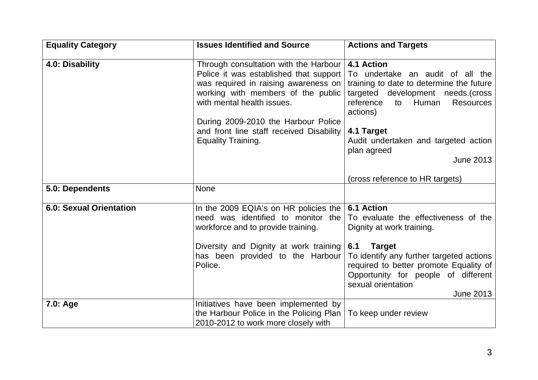| <b>Equality Category</b>       | <b>Issues Identified and Source</b>                                                                                                                                                                                                                          | <b>Actions and Targets</b>                                                                                                                                                                                                                                                                                                 |
|--------------------------------|--------------------------------------------------------------------------------------------------------------------------------------------------------------------------------------------------------------------------------------------------------------|----------------------------------------------------------------------------------------------------------------------------------------------------------------------------------------------------------------------------------------------------------------------------------------------------------------------------|
| 4.0: Disability                | Through consultation with the Harbour<br>was required in raising awareness on<br>working with members of the public<br>with mental health issues.<br>During 2009-2010 the Harbour Police<br>and front line staff received Disability  <br>Equality Training. | 4.1 Action<br>Police it was established that support   To undertake an audit of all the<br>training to date to determine the future<br>targeted development needs.(cross<br>reference<br>to Human<br><b>Resources</b><br>actions)<br>4.1 Target<br>Audit undertaken and targeted action<br>plan agreed<br><b>June 2013</b> |
|                                |                                                                                                                                                                                                                                                              | (cross reference to HR targets)                                                                                                                                                                                                                                                                                            |
| 5.0: Dependents                | <b>None</b>                                                                                                                                                                                                                                                  |                                                                                                                                                                                                                                                                                                                            |
| <b>6.0: Sexual Orientation</b> | In the 2009 EQIA's on HR policies the<br>need was identified to monitor the<br>workforce and to provide training.<br>Diversity and Dignity at work training<br>has been provided to the Harbour<br>Police.                                                   | 6.1 Action<br>To evaluate the effectiveness of the<br>Dignity at work training.<br>6.1<br><b>Target</b><br>To identify any further targeted actions<br>required to better promote Equality of<br>Opportunity for people of different<br>sexual orientation<br><b>June 2013</b>                                             |
| 7.0: Age                       | Initiatives have been implemented by<br>the Harbour Police in the Policing Plan  <br>2010-2012 to work more closely with                                                                                                                                     | To keep under review                                                                                                                                                                                                                                                                                                       |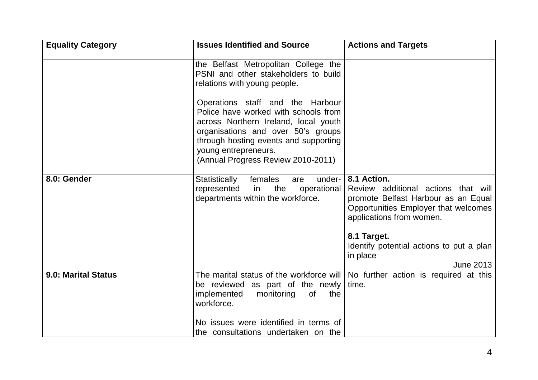| <b>Equality Category</b> | <b>Issues Identified and Source</b>                                                                                                                                                                                                                                                                                                                                           | <b>Actions and Targets</b>                                                                                                                                                                                                                               |
|--------------------------|-------------------------------------------------------------------------------------------------------------------------------------------------------------------------------------------------------------------------------------------------------------------------------------------------------------------------------------------------------------------------------|----------------------------------------------------------------------------------------------------------------------------------------------------------------------------------------------------------------------------------------------------------|
|                          | the Belfast Metropolitan College the<br>PSNI and other stakeholders to build<br>relations with young people.<br>Operations staff and the Harbour<br>Police have worked with schools from<br>across Northern Ireland, local youth<br>organisations and over 50's groups<br>through hosting events and supporting<br>young entrepreneurs.<br>(Annual Progress Review 2010-2011) |                                                                                                                                                                                                                                                          |
| 8.0: Gender              | females<br>under-<br>Statistically<br>are<br>operational<br>represented<br>the<br>in<br>departments within the workforce.                                                                                                                                                                                                                                                     | 8.1 Action.<br>Review additional actions that will<br>promote Belfast Harbour as an Equal<br>Opportunities Employer that welcomes<br>applications from women.<br>8.1 Target.<br>Identify potential actions to put a plan<br>in place<br><b>June 2013</b> |
| 9.0: Marital Status      | be reviewed as part of the newly<br>implemented<br>monitoring<br>0f<br>the<br>workforce.<br>No issues were identified in terms of<br>the consultations undertaken on the                                                                                                                                                                                                      | The marital status of the workforce will $\vert$ No further action is required at this<br>time.                                                                                                                                                          |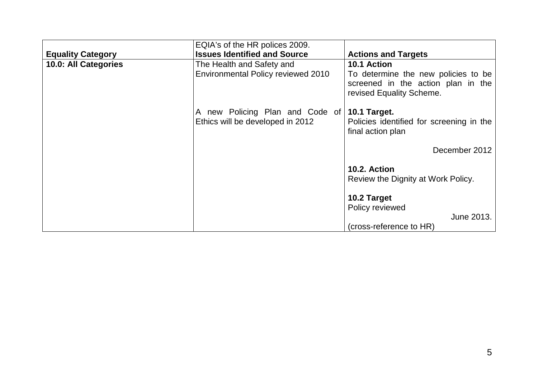|                          | EQIA's of the HR polices 2009.                                      |                                                                                                       |
|--------------------------|---------------------------------------------------------------------|-------------------------------------------------------------------------------------------------------|
| <b>Equality Category</b> | <b>Issues Identified and Source</b>                                 | <b>Actions and Targets</b>                                                                            |
| 10.0: All Categories     | The Health and Safety and                                           | 10.1 Action                                                                                           |
|                          | Environmental Policy reviewed 2010                                  | To determine the new policies to be<br>screened in the action plan in the<br>revised Equality Scheme. |
|                          |                                                                     |                                                                                                       |
|                          | A new Policing Plan and Code of<br>Ethics will be developed in 2012 | 10.1 Target.<br>Policies identified for screening in the<br>final action plan                         |
|                          |                                                                     | December 2012                                                                                         |
|                          |                                                                     | 10.2. Action                                                                                          |
|                          |                                                                     | Review the Dignity at Work Policy.                                                                    |
|                          |                                                                     | 10.2 Target                                                                                           |
|                          |                                                                     | Policy reviewed                                                                                       |
|                          |                                                                     | June 2013.                                                                                            |
|                          |                                                                     | (cross-reference to HR)                                                                               |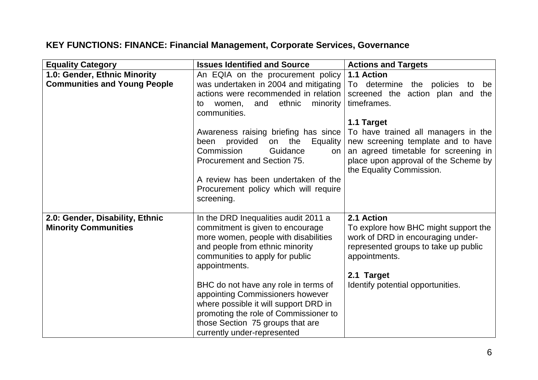## **KEY FUNCTIONS: FINANCE: Financial Management, Corporate Services, Governance**

| <b>Equality Category</b>            | <b>Issues Identified and Source</b>         | <b>Actions and Targets</b>           |
|-------------------------------------|---------------------------------------------|--------------------------------------|
| 1.0: Gender, Ethnic Minority        | An EQIA on the procurement policy           | 1.1 Action                           |
| <b>Communities and Young People</b> | was undertaken in 2004 and mitigating       | To determine the policies to<br>be   |
|                                     | actions were recommended in relation        | screened the action plan and the     |
|                                     | ethnic<br>and<br>minority<br>women,<br>to   | timeframes.                          |
|                                     | communities.                                |                                      |
|                                     |                                             | 1.1 Target                           |
|                                     | Awareness raising briefing has since        | To have trained all managers in the  |
|                                     | the<br>provided<br>Equality  <br>been<br>on | new screening template and to have   |
|                                     | Commission<br>Guidance<br>on                | an agreed timetable for screening in |
|                                     | Procurement and Section 75.                 | place upon approval of the Scheme by |
|                                     | A review has been undertaken of the         | the Equality Commission.             |
|                                     | Procurement policy which will require       |                                      |
|                                     | screening.                                  |                                      |
|                                     |                                             |                                      |
| 2.0: Gender, Disability, Ethnic     | In the DRD Inequalities audit 2011 a        | 2.1 Action                           |
| <b>Minority Communities</b>         | commitment is given to encourage            | To explore how BHC might support the |
|                                     | more women, people with disabilities        | work of DRD in encouraging under-    |
|                                     | and people from ethnic minority             | represented groups to take up public |
|                                     | communities to apply for public             | appointments.                        |
|                                     | appointments.                               |                                      |
|                                     |                                             | 2.1 Target                           |
|                                     | BHC do not have any role in terms of        | Identify potential opportunities.    |
|                                     | appointing Commissioners however            |                                      |
|                                     | where possible it will support DRD in       |                                      |
|                                     | promoting the role of Commissioner to       |                                      |
|                                     | those Section 75 groups that are            |                                      |
|                                     | currently under-represented                 |                                      |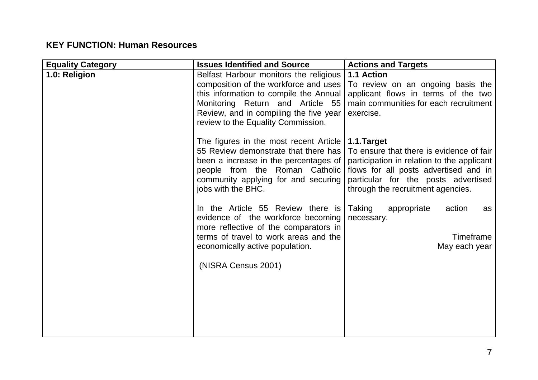## **KEY FUNCTION: Human Resources**

| <b>Equality Category</b> | <b>Issues Identified and Source</b>                                                                                                                                                                                                           | <b>Actions and Targets</b>                                                                                                                                                                                                |
|--------------------------|-----------------------------------------------------------------------------------------------------------------------------------------------------------------------------------------------------------------------------------------------|---------------------------------------------------------------------------------------------------------------------------------------------------------------------------------------------------------------------------|
| 1.0: Religion            | Belfast Harbour monitors the religious<br>composition of the workforce and uses<br>this information to compile the Annual<br>Monitoring Return and Article 55<br>Review, and in compiling the five year<br>review to the Equality Commission. | 1.1 Action<br>To review on an ongoing basis the<br>applicant flows in terms of the two<br>main communities for each recruitment<br>exercise.                                                                              |
|                          | The figures in the most recent Article<br>55 Review demonstrate that there has<br>been a increase in the percentages of<br>people from the Roman Catholic<br>community applying for and securing<br>jobs with the BHC.                        | 1.1.Target<br>To ensure that there is evidence of fair<br>participation in relation to the applicant<br>flows for all posts advertised and in<br>particular for the posts advertised<br>through the recruitment agencies. |
|                          | In the Article 55 Review there is<br>evidence of the workforce becoming<br>more reflective of the comparators in<br>terms of travel to work areas and the<br>economically active population.                                                  | Taking<br>action<br>appropriate<br>as<br>necessary.<br>Timeframe<br>May each year                                                                                                                                         |
|                          | (NISRA Census 2001)                                                                                                                                                                                                                           |                                                                                                                                                                                                                           |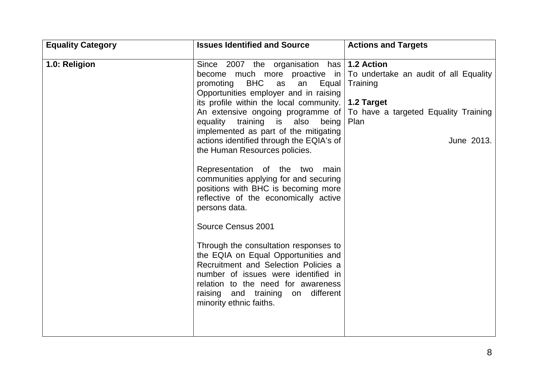|                                                                                                                                                                                                                                                                                                                                                                                                                                                                                                                                                                                                                                                                                                                                                                                                                                                                                                                                                                                  | <b>Equality Category</b> | <b>Issues Identified and Source</b>           | <b>Actions and Targets</b> |
|----------------------------------------------------------------------------------------------------------------------------------------------------------------------------------------------------------------------------------------------------------------------------------------------------------------------------------------------------------------------------------------------------------------------------------------------------------------------------------------------------------------------------------------------------------------------------------------------------------------------------------------------------------------------------------------------------------------------------------------------------------------------------------------------------------------------------------------------------------------------------------------------------------------------------------------------------------------------------------|--------------------------|-----------------------------------------------|----------------------------|
| become much more proactive in $\vert$ To undertake an audit of all Equality<br><b>BHC</b><br>promoting<br>Equal   Training<br>as<br>an<br>Opportunities employer and in raising<br>its profile within the local community. $\vert$ 1.2 Target<br>An extensive ongoing programme of To have a targeted Equality Training<br>equality training is also<br>being<br>Plan<br>implemented as part of the mitigating<br>actions identified through the EQIA's of<br>June 2013.<br>the Human Resources policies.<br>Representation of the two main<br>communities applying for and securing<br>positions with BHC is becoming more<br>reflective of the economically active<br>persons data.<br>Source Census 2001<br>Through the consultation responses to<br>the EQIA on Equal Opportunities and<br>Recruitment and Selection Policies a<br>number of issues were identified in<br>relation to the need for awareness<br>raising and training on different<br>minority ethnic faiths. | 1.0: Religion            | Since 2007 the organisation has $ 1.2$ Action |                            |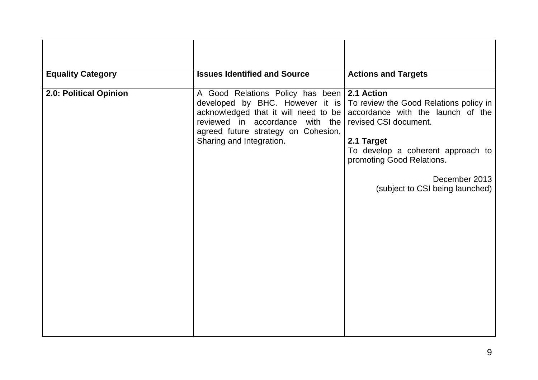| <b>Equality Category</b> | <b>Issues Identified and Source</b>                                                                                                                 | <b>Actions and Targets</b>                                                                                                                                                                                                                                                                                                |
|--------------------------|-----------------------------------------------------------------------------------------------------------------------------------------------------|---------------------------------------------------------------------------------------------------------------------------------------------------------------------------------------------------------------------------------------------------------------------------------------------------------------------------|
| 2.0: Political Opinion   | A Good Relations Policy has been   2.1 Action<br>reviewed in accordance with the<br>agreed future strategy on Cohesion,<br>Sharing and Integration. | developed by BHC. However it is $\vert$ To review the Good Relations policy in<br>acknowledged that it will need to be $ $ accordance with the launch of the<br>revised CSI document.<br>2.1 Target<br>To develop a coherent approach to<br>promoting Good Relations.<br>December 2013<br>(subject to CSI being launched) |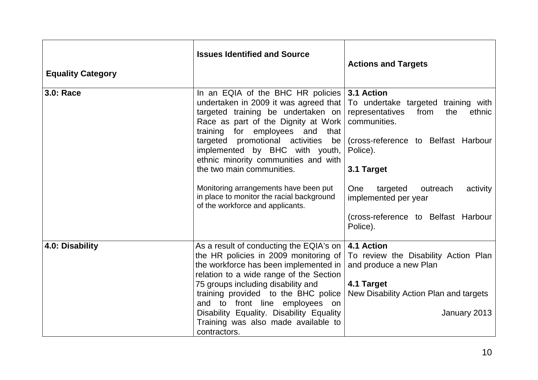| <b>Equality Category</b> | <b>Issues Identified and Source</b>                                                                                                                                                                                                             | <b>Actions and Targets</b>                                                                                                                                                                 |
|--------------------------|-------------------------------------------------------------------------------------------------------------------------------------------------------------------------------------------------------------------------------------------------|--------------------------------------------------------------------------------------------------------------------------------------------------------------------------------------------|
| 3.0: Race                | In an EQIA of the BHC HR policies $3.1$ Action<br>targeted training be undertaken on<br>Race as part of the Dignity at Work<br>for employees and<br>training<br>that<br>targeted promotional activities<br>be<br>implemented by BHC with youth, | undertaken in 2009 it was agreed that   To undertake targeted training with<br>representatives<br>from<br>the<br>ethnic<br>communities.<br>(cross-reference to Belfast Harbour<br>Police). |
|                          | ethnic minority communities and with<br>the two main communities.                                                                                                                                                                               | 3.1 Target                                                                                                                                                                                 |
|                          | Monitoring arrangements have been put<br>in place to monitor the racial background<br>of the workforce and applicants.                                                                                                                          | <b>One</b><br>targeted<br>outreach<br>activity<br>implemented per year                                                                                                                     |
|                          |                                                                                                                                                                                                                                                 | (cross-reference to Belfast Harbour<br>Police).                                                                                                                                            |
| 4.0: Disability          | As a result of conducting the EQIA's on<br>the HR policies in 2009 monitoring of<br>the workforce has been implemented in<br>relation to a wide range of the Section                                                                            | <b>4.1 Action</b><br>To review the Disability Action Plan<br>and produce a new Plan                                                                                                        |
|                          | 75 groups including disability and<br>training provided to the BHC police                                                                                                                                                                       | 4.1 Target<br>New Disability Action Plan and targets                                                                                                                                       |
|                          | and to front line employees on<br>Disability Equality. Disability Equality<br>Training was also made available to<br>contractors.                                                                                                               | January 2013                                                                                                                                                                               |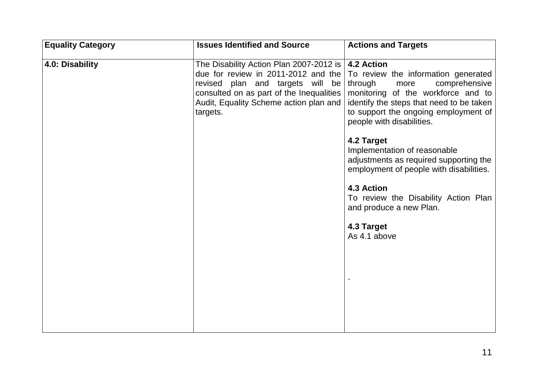| <b>Equality Category</b> | <b>Issues Identified and Source</b>                                                                                                                                                                  | <b>Actions and Targets</b>                                                                                                                                                                                                                                                                                                                                                                                                                                                                                         |
|--------------------------|------------------------------------------------------------------------------------------------------------------------------------------------------------------------------------------------------|--------------------------------------------------------------------------------------------------------------------------------------------------------------------------------------------------------------------------------------------------------------------------------------------------------------------------------------------------------------------------------------------------------------------------------------------------------------------------------------------------------------------|
| 4.0: Disability          | The Disability Action Plan 2007-2012 is $ $ 4.2 Action<br>revised plan and targets will be through<br>consulted on as part of the Inequalities<br>Audit, Equality Scheme action plan and<br>targets. | due for review in 2011-2012 and the   To review the information generated<br>comprehensive<br>more<br>monitoring of the workforce and to<br>identify the steps that need to be taken<br>to support the ongoing employment of<br>people with disabilities.<br>4.2 Target<br>Implementation of reasonable<br>adjustments as required supporting the<br>employment of people with disabilities.<br><b>4.3 Action</b><br>To review the Disability Action Plan<br>and produce a new Plan.<br>4.3 Target<br>As 4.1 above |
|                          |                                                                                                                                                                                                      |                                                                                                                                                                                                                                                                                                                                                                                                                                                                                                                    |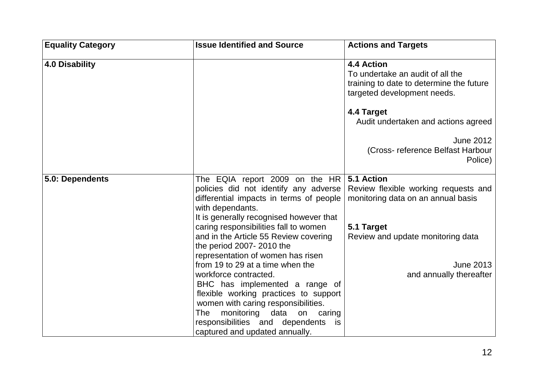| <b>Equality Category</b> | <b>Issue Identified and Source</b>                                                                                                                                                                                                                                                                  | <b>Actions and Targets</b>                                                                                                |
|--------------------------|-----------------------------------------------------------------------------------------------------------------------------------------------------------------------------------------------------------------------------------------------------------------------------------------------------|---------------------------------------------------------------------------------------------------------------------------|
| 4.0 Disability           |                                                                                                                                                                                                                                                                                                     | 4.4 Action<br>To undertake an audit of all the<br>training to date to determine the future<br>targeted development needs. |
|                          |                                                                                                                                                                                                                                                                                                     | 4.4 Target<br>Audit undertaken and actions agreed                                                                         |
|                          |                                                                                                                                                                                                                                                                                                     | June 2012<br>(Cross-reference Belfast Harbour<br>Police)                                                                  |
| 5.0: Dependents          | The EQIA report 2009 on the HR<br>policies did not identify any adverse<br>differential impacts in terms of people<br>with dependants.<br>It is generally recognised however that                                                                                                                   | 5.1 Action<br>Review flexible working requests and<br>monitoring data on an annual basis                                  |
|                          | caring responsibilities fall to women<br>and in the Article 55 Review covering<br>the period 2007-2010 the<br>representation of women has risen                                                                                                                                                     | 5.1 Target<br>Review and update monitoring data                                                                           |
|                          | from 19 to 29 at a time when the<br>workforce contracted.<br>BHC has implemented a range of<br>flexible working practices to support<br>women with caring responsibilities.<br>monitoring<br>The<br>data<br>on<br>caring<br>responsibilities and dependents<br>is<br>captured and updated annually. | <b>June 2013</b><br>and annually thereafter                                                                               |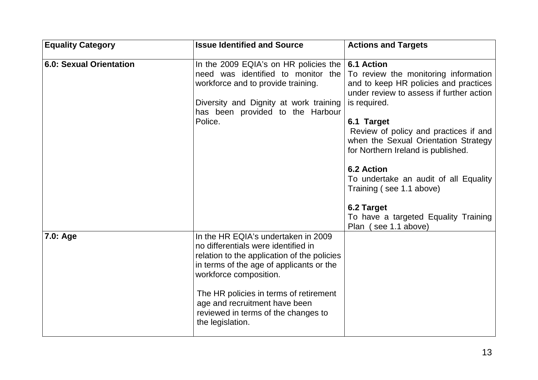| <b>Equality Category</b> | <b>Issue Identified and Source</b>                                                                                                                                                                                                                                                                                                    | <b>Actions and Targets</b>                                                                                                                                                                                                                                                                                                                                                                              |
|--------------------------|---------------------------------------------------------------------------------------------------------------------------------------------------------------------------------------------------------------------------------------------------------------------------------------------------------------------------------------|---------------------------------------------------------------------------------------------------------------------------------------------------------------------------------------------------------------------------------------------------------------------------------------------------------------------------------------------------------------------------------------------------------|
| 6.0: Sexual Orientation  | In the 2009 EQIA's on HR policies the $\vert$ 6.1 Action<br>need was identified to monitor the To review the monitoring information<br>workforce and to provide training.<br>Diversity and Dignity at work training<br>has been provided to the Harbour<br>Police.                                                                    | and to keep HR policies and practices<br>under review to assess if further action<br>is required.<br>6.1 Target<br>Review of policy and practices if and<br>when the Sexual Orientation Strategy<br>for Northern Ireland is published.<br>6.2 Action<br>To undertake an audit of all Equality<br>Training (see 1.1 above)<br>6.2 Target<br>To have a targeted Equality Training<br>Plan (see 1.1 above) |
| 7.0: Age                 | In the HR EQIA's undertaken in 2009<br>no differentials were identified in<br>relation to the application of the policies<br>in terms of the age of applicants or the<br>workforce composition.<br>The HR policies in terms of retirement<br>age and recruitment have been<br>reviewed in terms of the changes to<br>the legislation. |                                                                                                                                                                                                                                                                                                                                                                                                         |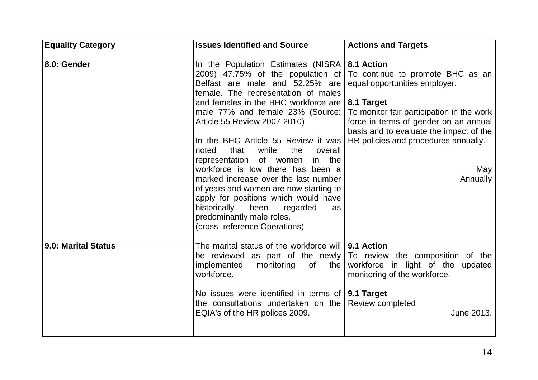| <b>Equality Category</b>   | <b>Issues Identified and Source</b>                                                                                                                                                                                                                                                                                                                                                                                                                                                                                                                                                                                                              | <b>Actions and Targets</b>                                                                                                                                                                                                                                                                                                          |
|----------------------------|--------------------------------------------------------------------------------------------------------------------------------------------------------------------------------------------------------------------------------------------------------------------------------------------------------------------------------------------------------------------------------------------------------------------------------------------------------------------------------------------------------------------------------------------------------------------------------------------------------------------------------------------------|-------------------------------------------------------------------------------------------------------------------------------------------------------------------------------------------------------------------------------------------------------------------------------------------------------------------------------------|
| 8.0: Gender                | In the Population Estimates (NISRA $\vert$ 8.1 Action<br>Belfast are male and 52.25% are<br>female. The representation of males<br>and females in the BHC workforce are<br>male 77% and female 23% (Source:<br>Article 55 Review 2007-2010)<br>In the BHC Article 55 Review it was<br>while<br>the<br>that<br>overall<br>noted<br>of women<br>representation<br>the<br>in.<br>workforce is low there has been a<br>marked increase over the last number<br>of years and women are now starting to<br>apply for positions which would have<br>historically<br>been<br>regarded<br>as<br>predominantly male roles.<br>(cross-reference Operations) | 2009) 47.75% of the population of $\overline{1}$ To continue to promote BHC as an<br>equal opportunities employer.<br>8.1 Target<br>To monitor fair participation in the work<br>force in terms of gender on an annual<br>basis and to evaluate the impact of the<br>HR policies and procedures annually.<br>May<br><b>Annually</b> |
| <b>9.0: Marital Status</b> | The marital status of the workforce will   9.1 Action<br>be reviewed as part of the newly $\overline{I}$ To review the composition of the<br><b>of</b><br>implemented<br>monitoring<br>the  <br>workforce.<br>No issues were identified in terms of $\vert$ 9.1 Target<br>the consultations undertaken on the Review completed<br>EQIA's of the HR polices 2009.                                                                                                                                                                                                                                                                                 | workforce in light of the updated<br>monitoring of the workforce.<br>June 2013.                                                                                                                                                                                                                                                     |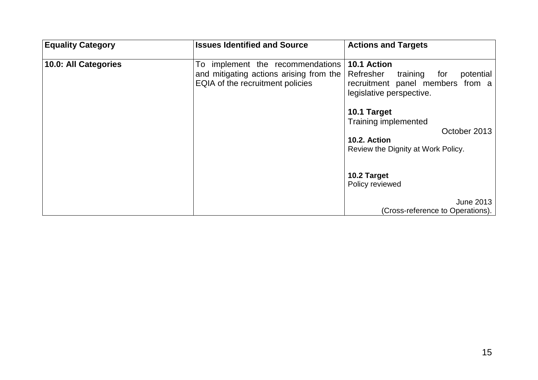| <b>Equality Category</b> | <b>Issues Identified and Source</b>                                                                                | <b>Actions and Targets</b>                                                                                                                                                                                                            |
|--------------------------|--------------------------------------------------------------------------------------------------------------------|---------------------------------------------------------------------------------------------------------------------------------------------------------------------------------------------------------------------------------------|
| 10.0: All Categories     | To<br>implement the recommendations<br>and mitigating actions arising from the<br>EQIA of the recruitment policies | 10.1 Action<br>Refresher<br>potential<br>training<br>for<br>recruitment panel members from a<br>legislative perspective.<br>10.1 Target<br>Training implemented<br>October 2013<br>10.2. Action<br>Review the Dignity at Work Policy. |
|                          |                                                                                                                    | 10.2 Target<br>Policy reviewed                                                                                                                                                                                                        |
|                          |                                                                                                                    | June 2013<br>(Cross-reference to Operations).                                                                                                                                                                                         |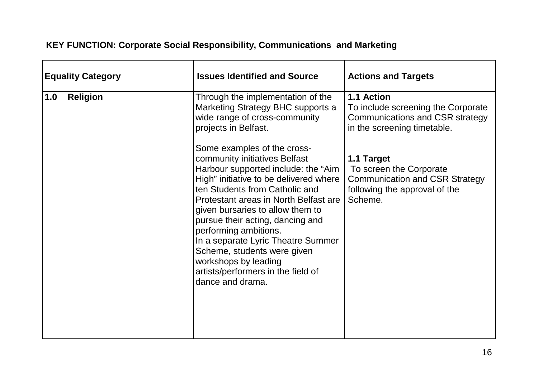## **KEY FUNCTION: Corporate Social Responsibility, Communications and Marketing**

| <b>Equality Category</b> | <b>Issues Identified and Source</b>                                                                                                                                                                                                                                                                                                                                                                                                                                               | <b>Actions and Targets</b>                                                                                                 |
|--------------------------|-----------------------------------------------------------------------------------------------------------------------------------------------------------------------------------------------------------------------------------------------------------------------------------------------------------------------------------------------------------------------------------------------------------------------------------------------------------------------------------|----------------------------------------------------------------------------------------------------------------------------|
| <b>Religion</b><br>1.0   | Through the implementation of the<br>Marketing Strategy BHC supports a<br>wide range of cross-community<br>projects in Belfast.                                                                                                                                                                                                                                                                                                                                                   | 1.1 Action<br>To include screening the Corporate<br>Communications and CSR strategy<br>in the screening timetable.         |
|                          | Some examples of the cross-<br>community initiatives Belfast<br>Harbour supported include: the "Aim"<br>High" initiative to be delivered where<br>ten Students from Catholic and<br>Protestant areas in North Belfast are<br>given bursaries to allow them to<br>pursue their acting, dancing and<br>performing ambitions.<br>In a separate Lyric Theatre Summer<br>Scheme, students were given<br>workshops by leading<br>artists/performers in the field of<br>dance and drama. | 1.1 Target<br>To screen the Corporate<br><b>Communication and CSR Strategy</b><br>following the approval of the<br>Scheme. |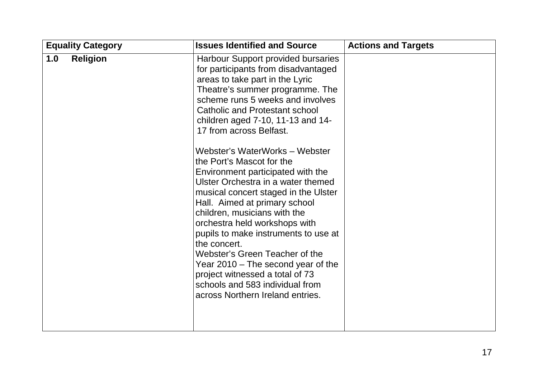|     | <b>Equality Category</b> | <b>Issues Identified and Source</b>                                                                                                                                                                                                                                                                                                                                                                                                                                                                                                                                                                                                                                                                                                                                                                                        | <b>Actions and Targets</b> |
|-----|--------------------------|----------------------------------------------------------------------------------------------------------------------------------------------------------------------------------------------------------------------------------------------------------------------------------------------------------------------------------------------------------------------------------------------------------------------------------------------------------------------------------------------------------------------------------------------------------------------------------------------------------------------------------------------------------------------------------------------------------------------------------------------------------------------------------------------------------------------------|----------------------------|
| 1.0 | <b>Religion</b>          | Harbour Support provided bursaries<br>for participants from disadvantaged<br>areas to take part in the Lyric<br>Theatre's summer programme. The<br>scheme runs 5 weeks and involves<br><b>Catholic and Protestant school</b><br>children aged 7-10, 11-13 and 14-<br>17 from across Belfast.<br>Webster's WaterWorks - Webster<br>the Port's Mascot for the<br>Environment participated with the<br>Ulster Orchestra in a water themed<br>musical concert staged in the Ulster<br>Hall. Aimed at primary school<br>children, musicians with the<br>orchestra held workshops with<br>pupils to make instruments to use at<br>the concert.<br>Webster's Green Teacher of the<br>Year 2010 – The second year of the<br>project witnessed a total of 73<br>schools and 583 individual from<br>across Northern Ireland entries. |                            |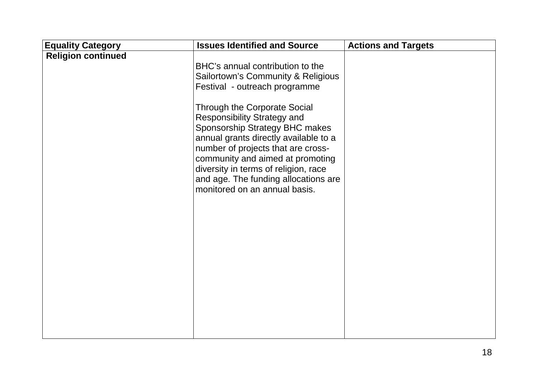|                                                       | <b>Issues Identified and Source</b>                                                                                                                                                                                                                                                                                                                                                                                                                 | <b>Actions and Targets</b> |
|-------------------------------------------------------|-----------------------------------------------------------------------------------------------------------------------------------------------------------------------------------------------------------------------------------------------------------------------------------------------------------------------------------------------------------------------------------------------------------------------------------------------------|----------------------------|
| <b>Equality Category</b><br><b>Religion continued</b> | BHC's annual contribution to the<br>Sailortown's Community & Religious<br>Festival - outreach programme<br>Through the Corporate Social<br><b>Responsibility Strategy and</b><br>Sponsorship Strategy BHC makes<br>annual grants directly available to a<br>number of projects that are cross-<br>community and aimed at promoting<br>diversity in terms of religion, race<br>and age. The funding allocations are<br>monitored on an annual basis. |                            |
|                                                       |                                                                                                                                                                                                                                                                                                                                                                                                                                                     |                            |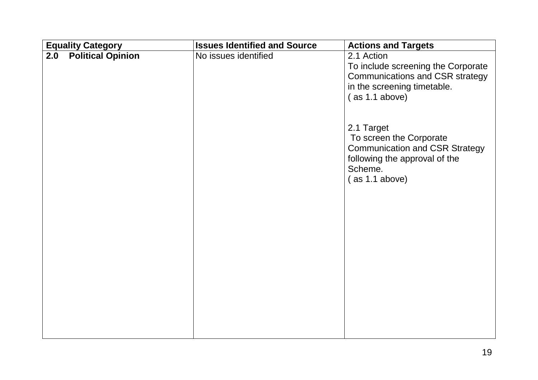| <b>Equality Category</b>        | <b>Issues Identified and Source</b> | <b>Actions and Targets</b>                                                                                                                   |
|---------------------------------|-------------------------------------|----------------------------------------------------------------------------------------------------------------------------------------------|
| <b>Political Opinion</b><br>2.0 | No issues identified                | 2.1 Action<br>To include screening the Corporate<br><b>Communications and CSR strategy</b><br>in the screening timetable.<br>(as 1.1 above)  |
|                                 |                                     | 2.1 Target<br>To screen the Corporate<br><b>Communication and CSR Strategy</b><br>following the approval of the<br>Scheme.<br>(as 1.1 above) |
|                                 |                                     |                                                                                                                                              |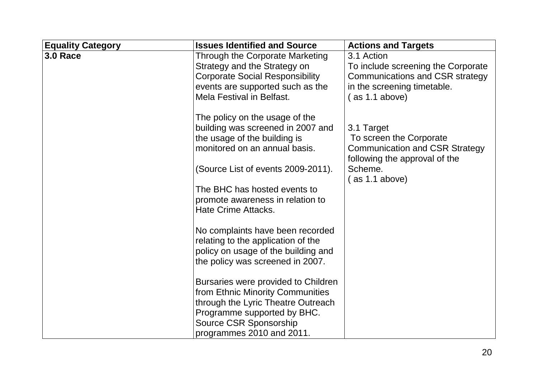| <b>Equality Category</b> | <b>Issues Identified and Source</b>    | <b>Actions and Targets</b>            |
|--------------------------|----------------------------------------|---------------------------------------|
| <b>3.0 Race</b>          | <b>Through the Corporate Marketing</b> | 3.1 Action                            |
|                          | Strategy and the Strategy on           | To include screening the Corporate    |
|                          | <b>Corporate Social Responsibility</b> | Communications and CSR strategy       |
|                          | events are supported such as the       | in the screening timetable.           |
|                          | Mela Festival in Belfast.              | (as 1.1 above)                        |
|                          | The policy on the usage of the         |                                       |
|                          | building was screened in 2007 and      | 3.1 Target                            |
|                          | the usage of the building is           | To screen the Corporate               |
|                          | monitored on an annual basis.          | <b>Communication and CSR Strategy</b> |
|                          |                                        | following the approval of the         |
|                          | (Source List of events 2009-2011).     | Scheme.                               |
|                          |                                        | $($ as 1.1 above)                     |
|                          | The BHC has hosted events to           |                                       |
|                          | promote awareness in relation to       |                                       |
|                          | <b>Hate Crime Attacks.</b>             |                                       |
|                          | No complaints have been recorded       |                                       |
|                          | relating to the application of the     |                                       |
|                          | policy on usage of the building and    |                                       |
|                          | the policy was screened in 2007.       |                                       |
|                          |                                        |                                       |
|                          | Bursaries were provided to Children    |                                       |
|                          | from Ethnic Minority Communities       |                                       |
|                          | through the Lyric Theatre Outreach     |                                       |
|                          | Programme supported by BHC.            |                                       |
|                          | Source CSR Sponsorship                 |                                       |
|                          | programmes 2010 and 2011.              |                                       |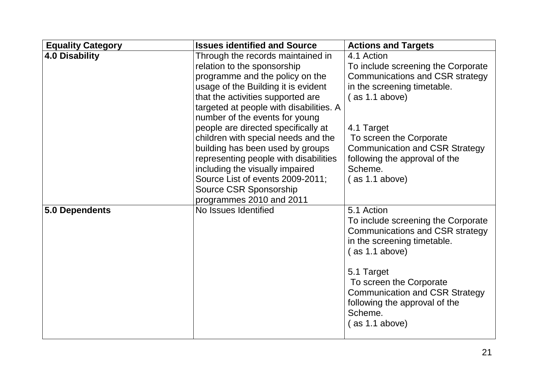| <b>Equality Category</b> | <b>Issues identified and Source</b>     | <b>Actions and Targets</b>             |
|--------------------------|-----------------------------------------|----------------------------------------|
| <b>4.0 Disability</b>    | Through the records maintained in       | 4.1 Action                             |
|                          | relation to the sponsorship             | To include screening the Corporate     |
|                          | programme and the policy on the         | Communications and CSR strategy        |
|                          | usage of the Building it is evident     | in the screening timetable.            |
|                          | that the activities supported are       | (as 1.1 above)                         |
|                          | targeted at people with disabilities. A |                                        |
|                          | number of the events for young          |                                        |
|                          | people are directed specifically at     | 4.1 Target                             |
|                          | children with special needs and the     | To screen the Corporate                |
|                          | building has been used by groups        | <b>Communication and CSR Strategy</b>  |
|                          | representing people with disabilities   | following the approval of the          |
|                          | including the visually impaired         | Scheme.                                |
|                          | Source List of events 2009-2011;        | $($ as 1.1 above)                      |
|                          | Source CSR Sponsorship                  |                                        |
|                          | programmes 2010 and 2011                |                                        |
| 5.0 Dependents           | No Issues Identified                    | 5.1 Action                             |
|                          |                                         | To include screening the Corporate     |
|                          |                                         | <b>Communications and CSR strategy</b> |
|                          |                                         | in the screening timetable.            |
|                          |                                         | (as 1.1 above)                         |
|                          |                                         |                                        |
|                          |                                         | 5.1 Target                             |
|                          |                                         | To screen the Corporate                |
|                          |                                         | <b>Communication and CSR Strategy</b>  |
|                          |                                         | following the approval of the          |
|                          |                                         | Scheme.                                |
|                          |                                         | $($ as 1.1 above)                      |
|                          |                                         |                                        |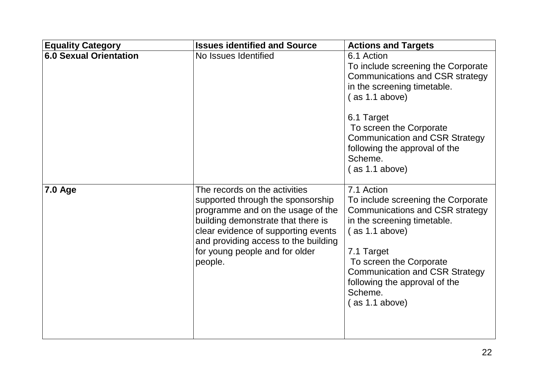| <b>Equality Category</b>      | <b>Issues identified and Source</b>                                                                                                                                                                                                                                       | <b>Actions and Targets</b>                                                                                                                                                                                                                                                              |
|-------------------------------|---------------------------------------------------------------------------------------------------------------------------------------------------------------------------------------------------------------------------------------------------------------------------|-----------------------------------------------------------------------------------------------------------------------------------------------------------------------------------------------------------------------------------------------------------------------------------------|
| <b>6.0 Sexual Orientation</b> | No Issues Identified                                                                                                                                                                                                                                                      | 6.1 Action<br>To include screening the Corporate<br>Communications and CSR strategy<br>in the screening timetable.<br>$($ as 1.1 above)                                                                                                                                                 |
|                               |                                                                                                                                                                                                                                                                           | 6.1 Target<br>To screen the Corporate<br><b>Communication and CSR Strategy</b><br>following the approval of the<br>Scheme.<br>$($ as 1.1 above)                                                                                                                                         |
| <b>7.0 Age</b>                | The records on the activities<br>supported through the sponsorship<br>programme and on the usage of the<br>building demonstrate that there is<br>clear evidence of supporting events<br>and providing access to the building<br>for young people and for older<br>people. | 7.1 Action<br>To include screening the Corporate<br>Communications and CSR strategy<br>in the screening timetable.<br>(as 1.1 above)<br>7.1 Target<br>To screen the Corporate<br><b>Communication and CSR Strategy</b><br>following the approval of the<br>Scheme.<br>$($ as 1.1 above) |